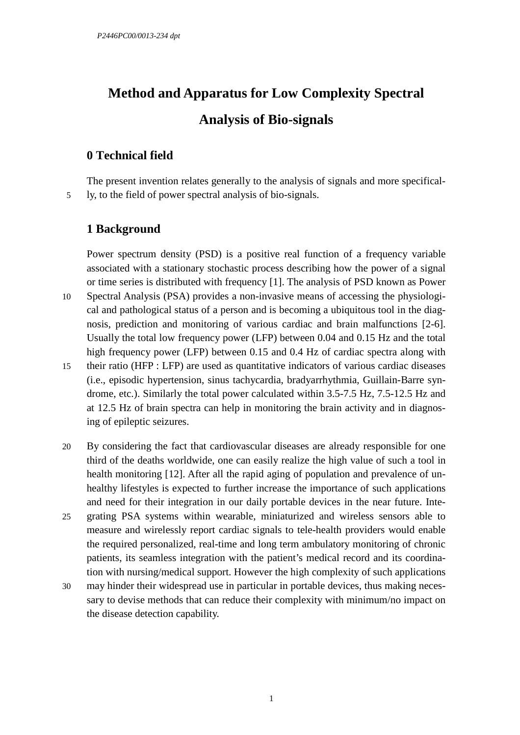# **Method and Apparatus for Low Complexity Spectral Analysis of Bio-signals**

# **0 Technical field**

The present invention relates generally to the analysis of signals and more specifical-5 ly, to the field of power spectral analysis of bio-signals.

# **1 Background**

Power spectrum density (PSD) is a positive real function of a frequency variable associated with a stationary stochastic process describing how the power of a signal or time series is distributed with frequency [1]. The analysis of PSD known as Power

- 10 Spectral Analysis (PSA) provides a non-invasive means of accessing the physiological and pathological status of a person and is becoming a ubiquitous tool in the diagnosis, prediction and monitoring of various cardiac and brain malfunctions [2-6]. Usually the total low frequency power (LFP) between 0.04 and 0.15 Hz and the total high frequency power (LFP) between 0.15 and 0.4 Hz of cardiac spectra along with
- 15 their ratio (HFP : LFP) are used as quantitative indicators of various cardiac diseases (i.e., episodic hypertension, sinus tachycardia, bradyarrhythmia, Guillain-Barre syndrome, etc.). Similarly the total power calculated within 3.5-7.5 Hz, 7.5-12.5 Hz and at 12.5 Hz of brain spectra can help in monitoring the brain activity and in diagnosing of epileptic seizures.
- 20 By considering the fact that cardiovascular diseases are already responsible for one third of the deaths worldwide, one can easily realize the high value of such a tool in health monitoring [12]. After all the rapid aging of population and prevalence of unhealthy lifestyles is expected to further increase the importance of such applications and need for their integration in our daily portable devices in the near future. Inte-
- 25 grating PSA systems within wearable, miniaturized and wireless sensors able to measure and wirelessly report cardiac signals to tele-health providers would enable the required personalized, real-time and long term ambulatory monitoring of chronic patients, its seamless integration with the patient's medical record and its coordination with nursing/medical support. However the high complexity of such applications
- 30 may hinder their widespread use in particular in portable devices, thus making necessary to devise methods that can reduce their complexity with minimum/no impact on the disease detection capability.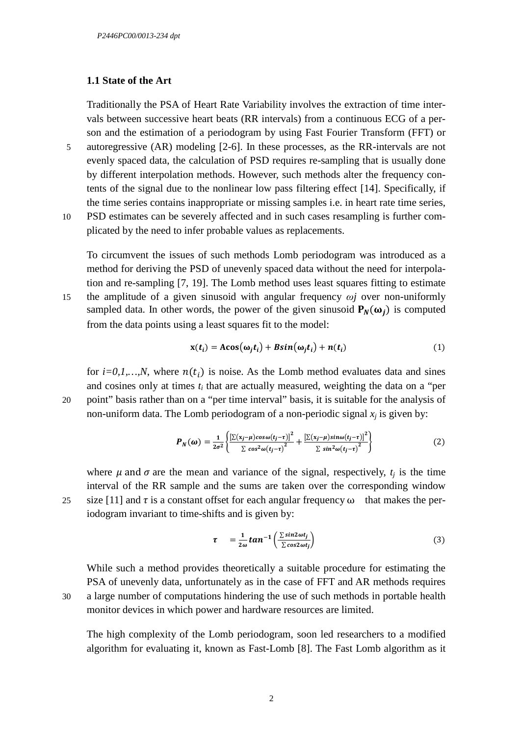#### **1.1 State of the Art**

Traditionally the PSA of Heart Rate Variability involves the extraction of time intervals between successive heart beats (RR intervals) from a continuous ECG of a person and the estimation of a periodogram by using Fast Fourier Transform (FFT) or

- 5 autoregressive (AR) modeling [2-6]. In these processes, as the RR-intervals are not evenly spaced data, the calculation of PSD requires re-sampling that is usually done by different interpolation methods. However, such methods alter the frequency contents of the signal due to the nonlinear low pass filtering effect [14]. Specifically, if the time series contains inappropriate or missing samples i.e. in heart rate time series,
- 10 PSD estimates can be severely affected and in such cases resampling is further complicated by the need to infer probable values as replacements.

To circumvent the issues of such methods Lomb periodogram was introduced as a method for deriving the PSD of unevenly spaced data without the need for interpolation and re-sampling [7, 19]. The Lomb method uses least squares fitting to estimate 15 the amplitude of a given sinusoid with angular frequency *ωj* over non-uniformly sampled data. In other words, the power of the given sinusoid  $P_N(\omega_j)$  is computed from the data points using a least squares fit to the model:

$$
\mathbf{x}(t_i) = \mathbf{A}\mathbf{cos}(\omega_j t_i) + \mathbf{B}\mathbf{sin}(\omega_j t_i) + \mathbf{n}(t_i)
$$
(1)

for  $i=0,1,...,N$ , where  $n(t_i)$  is noise. As the Lomb method evaluates data and sines and cosines only at times  $t_i$  that are actually measured, weighting the data on a "per 20 point" basis rather than on a "per time interval" basis, it is suitable for the analysis of non-uniform data. The Lomb periodogram of a non-periodic signal  $x_j$  is given by:

$$
\boldsymbol{P}_N(\boldsymbol{\omega}) = \frac{1}{2\sigma^2} \left\{ \frac{\left[\sum(x_j - \mu)\cos\omega(t_j - \tau)\right]^2}{\sum\cos^2\omega(t_j - \tau)^2} + \frac{\left[\sum(x_j - \mu)\sin\omega(t_j - \tau)\right]^2}{\sum\sin^2\omega(t_j - \tau)^2} \right\} \tag{2}
$$

where  $\mu$  and  $\sigma$  are the mean and variance of the signal, respectively,  $t_j$  is the time interval of the RR sample and the sums are taken over the corresponding window 25 size [11] and  $\tau$  is a constant offset for each angular frequency  $\omega$  that makes the periodogram invariant to time-shifts and is given by:

$$
\tau = \frac{1}{2\omega} \tan^{-1} \left( \frac{\sum \sin 2\omega t_j}{\sum \cos 2\omega t_j} \right) \tag{3}
$$

While such a method provides theoretically a suitable procedure for estimating the PSA of unevenly data, unfortunately as in the case of FFT and AR methods requires 30 a large number of computations hindering the use of such methods in portable health monitor devices in which power and hardware resources are limited.

The high complexity of the Lomb periodogram, soon led researchers to a modified algorithm for evaluating it, known as Fast-Lomb [8]. The Fast Lomb algorithm as it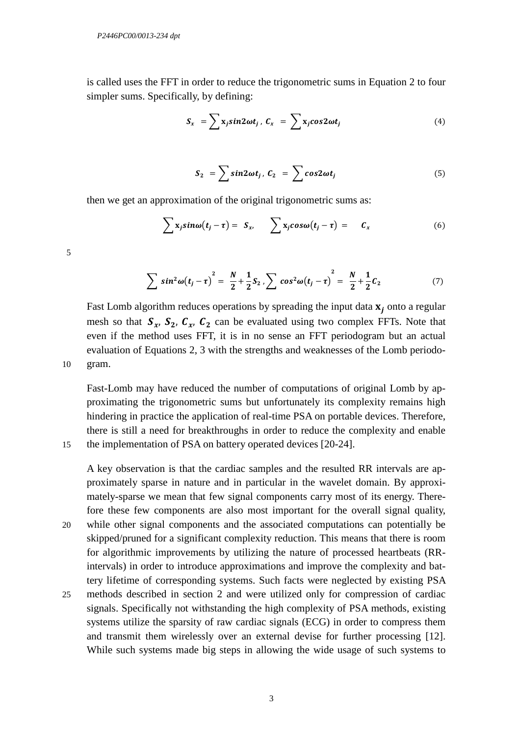is called uses the FFT in order to reduce the trigonometric sums in Equation 2 to four simpler sums. Specifically, by defining:

$$
S_x = \sum x_j sin2\omega t_j, \ C_x = \sum x_j cos2\omega t_j \tag{4}
$$

$$
S_2 = \sum \sin 2\omega t_j, \ C_2 = \sum \cos 2\omega t_j \tag{5}
$$

then we get an approximation of the original trigonometric sums as:

$$
\sum x_j \sin \omega(t_j - \tau) = S_x, \qquad \sum x_j \cos \omega(t_j - \tau) = C_x \tag{6}
$$

$$
\sum \sin^2 \omega (t_j - \tau)^2 = \frac{N}{2} + \frac{1}{2} S_2 , \sum \cos^2 \omega (t_j - \tau)^2 = \frac{N}{2} + \frac{1}{2} C_2 \tag{7}
$$

Fast Lomb algorithm reduces operations by spreading the input data  $x_j$  onto a regular mesh so that  $S_{r_1}$ ,  $S_{r_2}$ ,  $C_{r_3}$ ,  $C_{r_4}$  can be evaluated using two complex FFTs. Note that even if the method uses FFT, it is in no sense an FFT periodogram but an actual evaluation of Equations 2, 3 with the strengths and weaknesses of the Lomb periodo-10 gram.

Fast-Lomb may have reduced the number of computations of original Lomb by approximating the trigonometric sums but unfortunately its complexity remains high hindering in practice the application of real-time PSA on portable devices. Therefore, there is still a need for breakthroughs in order to reduce the complexity and enable 15 the implementation of PSA on battery operated devices [20-24].

A key observation is that the cardiac samples and the resulted RR intervals are approximately sparse in nature and in particular in the wavelet domain. By approximately-sparse we mean that few signal components carry most of its energy. Therefore these few components are also most important for the overall signal quality, 20 while other signal components and the associated computations can potentially be skipped/pruned for a significant complexity reduction. This means that there is room for algorithmic improvements by utilizing the nature of processed heartbeats (RRintervals) in order to introduce approximations and improve the complexity and battery lifetime of corresponding systems. Such facts were neglected by existing PSA

25 methods described in section 2 and were utilized only for compression of cardiac signals. Specifically not withstanding the high complexity of PSA methods, existing systems utilize the sparsity of raw cardiac signals (ECG) in order to compress them and transmit them wirelessly over an external devise for further processing [12]. While such systems made big steps in allowing the wide usage of such systems to

5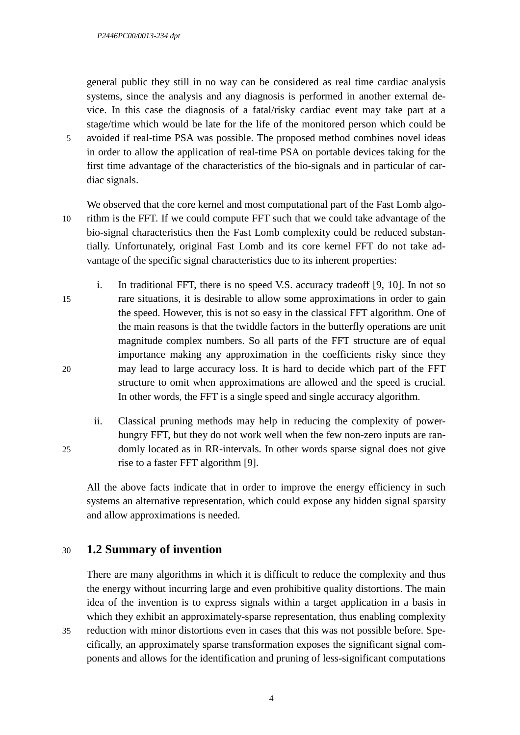general public they still in no way can be considered as real time cardiac analysis systems, since the analysis and any diagnosis is performed in another external device. In this case the diagnosis of a fatal/risky cardiac event may take part at a stage/time which would be late for the life of the monitored person which could be 5 avoided if real-time PSA was possible. The proposed method combines novel ideas in order to allow the application of real-time PSA on portable devices taking for the first time advantage of the characteristics of the bio-signals and in particular of cardiac signals.

- 
- We observed that the core kernel and most computational part of the Fast Lomb algo-10 rithm is the FFT. If we could compute FFT such that we could take advantage of the bio-signal characteristics then the Fast Lomb complexity could be reduced substantially. Unfortunately, original Fast Lomb and its core kernel FFT do not take advantage of the specific signal characteristics due to its inherent properties:
- i. In traditional FFT, there is no speed V.S. accuracy tradeoff [9, 10]. In not so 15 rare situations, it is desirable to allow some approximations in order to gain the speed. However, this is not so easy in the classical FFT algorithm. One of the main reasons is that the twiddle factors in the butterfly operations are unit magnitude complex numbers. So all parts of the FFT structure are of equal importance making any approximation in the coefficients risky since they 20 may lead to large accuracy loss. It is hard to decide which part of the FFT structure to omit when approximations are allowed and the speed is crucial. In other words, the FFT is a single speed and single accuracy algorithm.
- ii. Classical pruning methods may help in reducing the complexity of powerhungry FFT, but they do not work well when the few non-zero inputs are ran-25 domly located as in RR-intervals. In other words sparse signal does not give rise to a faster FFT algorithm [9].

All the above facts indicate that in order to improve the energy efficiency in such systems an alternative representation, which could expose any hidden signal sparsity and allow approximations is needed.

# 30 **1.2 Summary of invention**

There are many algorithms in which it is difficult to reduce the complexity and thus the energy without incurring large and even prohibitive quality distortions. The main idea of the invention is to express signals within a target application in a basis in which they exhibit an approximately-sparse representation, thus enabling complexity

35 reduction with minor distortions even in cases that this was not possible before. Specifically, an approximately sparse transformation exposes the significant signal components and allows for the identification and pruning of less-significant computations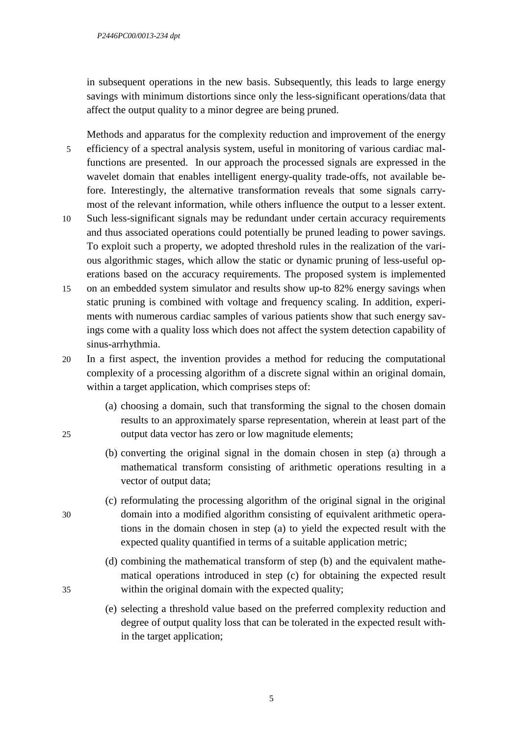in subsequent operations in the new basis. Subsequently, this leads to large energy savings with minimum distortions since only the less-significant operations/data that affect the output quality to a minor degree are being pruned.

Methods and apparatus for the complexity reduction and improvement of the energy 5 efficiency of a spectral analysis system, useful in monitoring of various cardiac malfunctions are presented. In our approach the processed signals are expressed in the wavelet domain that enables intelligent energy-quality trade-offs, not available before. Interestingly, the alternative transformation reveals that some signals carrymost of the relevant information, while others influence the output to a lesser extent.

- 10 Such less-significant signals may be redundant under certain accuracy requirements and thus associated operations could potentially be pruned leading to power savings. To exploit such a property, we adopted threshold rules in the realization of the various algorithmic stages, which allow the static or dynamic pruning of less-useful operations based on the accuracy requirements. The proposed system is implemented
- 15 on an embedded system simulator and results show up-to 82% energy savings when static pruning is combined with voltage and frequency scaling. In addition, experiments with numerous cardiac samples of various patients show that such energy savings come with a quality loss which does not affect the system detection capability of sinus-arrhythmia.
- 20 In a first aspect, the invention provides a method for reducing the computational complexity of a processing algorithm of a discrete signal within an original domain, within a target application, which comprises steps of:
- (a) choosing a domain, such that transforming the signal to the chosen domain results to an approximately sparse representation, wherein at least part of the 25 output data vector has zero or low magnitude elements;
	- (b) converting the original signal in the domain chosen in step (a) through a mathematical transform consisting of arithmetic operations resulting in a vector of output data;
- (c) reformulating the processing algorithm of the original signal in the original 30 domain into a modified algorithm consisting of equivalent arithmetic operations in the domain chosen in step (a) to yield the expected result with the expected quality quantified in terms of a suitable application metric;
- (d) combining the mathematical transform of step (b) and the equivalent mathematical operations introduced in step (c) for obtaining the expected result 35 within the original domain with the expected quality;
	- (e) selecting a threshold value based on the preferred complexity reduction and degree of output quality loss that can be tolerated in the expected result within the target application;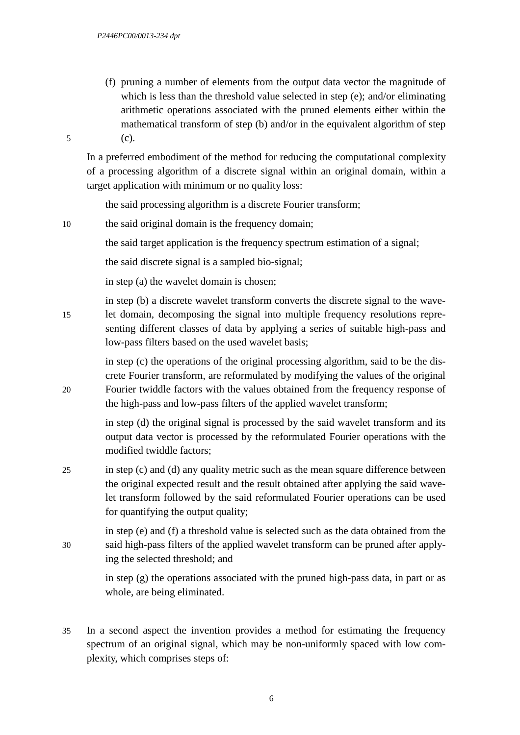(f) pruning a number of elements from the output data vector the magnitude of which is less than the threshold value selected in step (e); and/or eliminating arithmetic operations associated with the pruned elements either within the mathematical transform of step (b) and/or in the equivalent algorithm of step 5 (c).

In a preferred embodiment of the method for reducing the computational complexity of a processing algorithm of a discrete signal within an original domain, within a target application with minimum or no quality loss:

the said processing algorithm is a discrete Fourier transform;

10 the said original domain is the frequency domain;

the said target application is the frequency spectrum estimation of a signal;

the said discrete signal is a sampled bio-signal;

in step (a) the wavelet domain is chosen;

in step (b) a discrete wavelet transform converts the discrete signal to the wave-15 let domain, decomposing the signal into multiple frequency resolutions representing different classes of data by applying a series of suitable high-pass and low-pass filters based on the used wavelet basis;

in step (c) the operations of the original processing algorithm, said to be the discrete Fourier transform, are reformulated by modifying the values of the original 20 Fourier twiddle factors with the values obtained from the frequency response of the high-pass and low-pass filters of the applied wavelet transform;

> in step (d) the original signal is processed by the said wavelet transform and its output data vector is processed by the reformulated Fourier operations with the modified twiddle factors;

25 in step (c) and (d) any quality metric such as the mean square difference between the original expected result and the result obtained after applying the said wavelet transform followed by the said reformulated Fourier operations can be used for quantifying the output quality;

in step (e) and (f) a threshold value is selected such as the data obtained from the 30 said high-pass filters of the applied wavelet transform can be pruned after applying the selected threshold; and

> in step (g) the operations associated with the pruned high-pass data, in part or as whole, are being eliminated.

35 In a second aspect the invention provides a method for estimating the frequency spectrum of an original signal, which may be non-uniformly spaced with low complexity, which comprises steps of: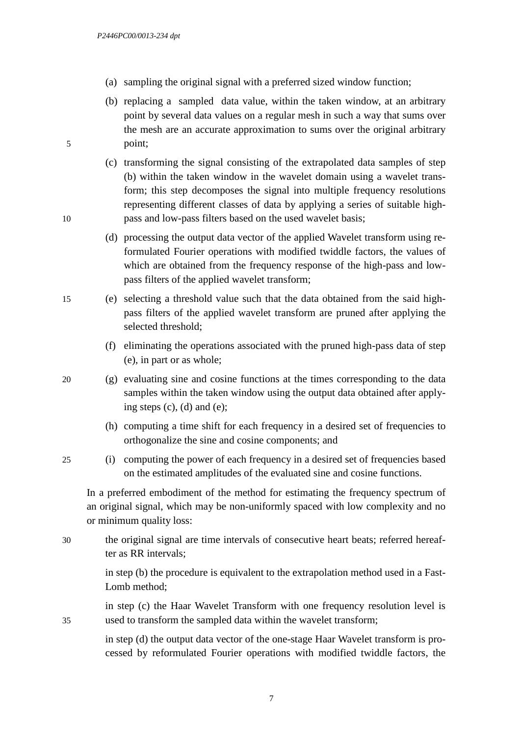- (a) sampling the original signal with a preferred sized window function;
- (b) replacing a sampled data value, within the taken window, at an arbitrary point by several data values on a regular mesh in such a way that sums over the mesh are an accurate approximation to sums over the original arbitrary 5 point;
- (c) transforming the signal consisting of the extrapolated data samples of step (b) within the taken window in the wavelet domain using a wavelet transform; this step decomposes the signal into multiple frequency resolutions representing different classes of data by applying a series of suitable high-10 pass and low-pass filters based on the used wavelet basis;
	- (d) processing the output data vector of the applied Wavelet transform using reformulated Fourier operations with modified twiddle factors, the values of which are obtained from the frequency response of the high-pass and lowpass filters of the applied wavelet transform;
- 15 (e) selecting a threshold value such that the data obtained from the said highpass filters of the applied wavelet transform are pruned after applying the selected threshold;
	- (f) eliminating the operations associated with the pruned high-pass data of step (e), in part or as whole;
- 20 (g) evaluating sine and cosine functions at the times corresponding to the data samples within the taken window using the output data obtained after applying steps (c), (d) and (e);
	- (h) computing a time shift for each frequency in a desired set of frequencies to orthogonalize the sine and cosine components; and
- 25 (i) computing the power of each frequency in a desired set of frequencies based on the estimated amplitudes of the evaluated sine and cosine functions.

In a preferred embodiment of the method for estimating the frequency spectrum of an original signal, which may be non-uniformly spaced with low complexity and no or minimum quality loss:

30 the original signal are time intervals of consecutive heart beats; referred hereafter as RR intervals;

> in step (b) the procedure is equivalent to the extrapolation method used in a Fast-Lomb method;

in step (c) the Haar Wavelet Transform with one frequency resolution level is 35 used to transform the sampled data within the wavelet transform;

> in step (d) the output data vector of the one-stage Haar Wavelet transform is processed by reformulated Fourier operations with modified twiddle factors, the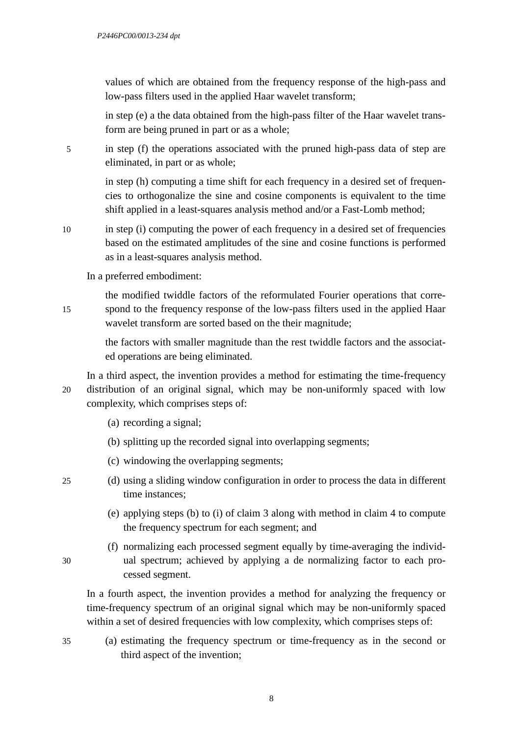values of which are obtained from the frequency response of the high-pass and low-pass filters used in the applied Haar wavelet transform;

in step (e) a the data obtained from the high-pass filter of the Haar wavelet transform are being pruned in part or as a whole;

5 in step (f) the operations associated with the pruned high-pass data of step are eliminated, in part or as whole;

> in step (h) computing a time shift for each frequency in a desired set of frequencies to orthogonalize the sine and cosine components is equivalent to the time shift applied in a least-squares analysis method and/or a Fast-Lomb method;

10 in step (i) computing the power of each frequency in a desired set of frequencies based on the estimated amplitudes of the sine and cosine functions is performed as in a least-squares analysis method.

In a preferred embodiment:

the modified twiddle factors of the reformulated Fourier operations that corre-15 spond to the frequency response of the low-pass filters used in the applied Haar wavelet transform are sorted based on the their magnitude;

> the factors with smaller magnitude than the rest twiddle factors and the associated operations are being eliminated.

In a third aspect, the invention provides a method for estimating the time-frequency 20 distribution of an original signal, which may be non-uniformly spaced with low complexity, which comprises steps of:

- (a) recording a signal;
- (b) splitting up the recorded signal into overlapping segments;
- (c) windowing the overlapping segments;

- 25 (d) using a sliding window configuration in order to process the data in different time instances;
	- (e) applying steps (b) to (i) of claim 3 along with method in claim 4 to compute the frequency spectrum for each segment; and
- (f) normalizing each processed segment equally by time-averaging the individ-30 ual spectrum; achieved by applying a de normalizing factor to each processed segment.

In a fourth aspect, the invention provides a method for analyzing the frequency or time-frequency spectrum of an original signal which may be non-uniformly spaced within a set of desired frequencies with low complexity, which comprises steps of:

35 (a) estimating the frequency spectrum or time-frequency as in the second or third aspect of the invention;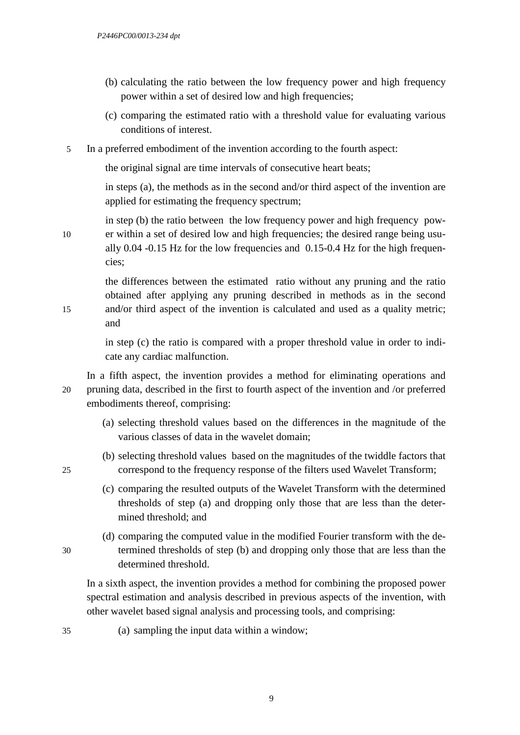- (b) calculating the ratio between the low frequency power and high frequency power within a set of desired low and high frequencies;
- (c) comparing the estimated ratio with a threshold value for evaluating various conditions of interest.
- 5 In a preferred embodiment of the invention according to the fourth aspect:

the original signal are time intervals of consecutive heart beats;

in steps (a), the methods as in the second and/or third aspect of the invention are applied for estimating the frequency spectrum;

in step (b) the ratio between the low frequency power and high frequency pow-10 er within a set of desired low and high frequencies; the desired range being usually 0.04 -0.15 Hz for the low frequencies and 0.15-0.4 Hz for the high frequencies;

the differences between the estimated ratio without any pruning and the ratio obtained after applying any pruning described in methods as in the second 15 and/or third aspect of the invention is calculated and used as a quality metric; and

> in step (c) the ratio is compared with a proper threshold value in order to indicate any cardiac malfunction.

In a fifth aspect, the invention provides a method for eliminating operations and 20 pruning data, described in the first to fourth aspect of the invention and /or preferred embodiments thereof, comprising:

- (a) selecting threshold values based on the differences in the magnitude of the various classes of data in the wavelet domain;
- (b) selecting threshold values based on the magnitudes of the twiddle factors that 25 correspond to the frequency response of the filters used Wavelet Transform;
	- (c) comparing the resulted outputs of the Wavelet Transform with the determined thresholds of step (a) and dropping only those that are less than the determined threshold; and
- (d) comparing the computed value in the modified Fourier transform with the de-30 termined thresholds of step (b) and dropping only those that are less than the determined threshold.

In a sixth aspect, the invention provides a method for combining the proposed power spectral estimation and analysis described in previous aspects of the invention, with other wavelet based signal analysis and processing tools, and comprising:

35 (a) sampling the input data within a window;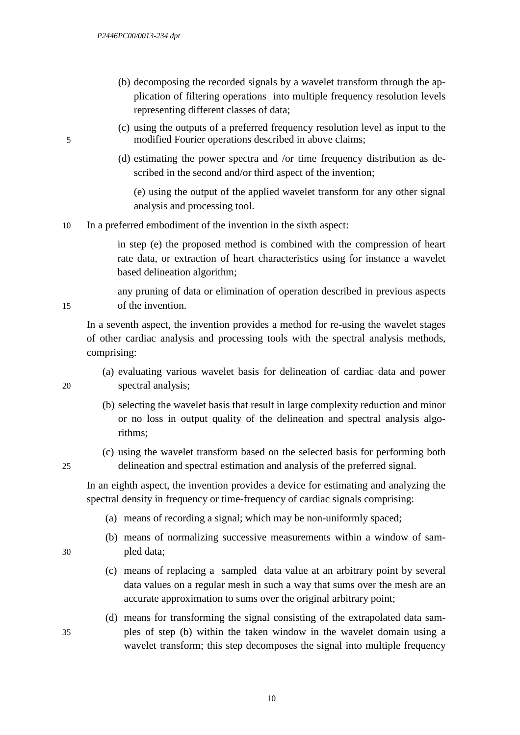- (b) decomposing the recorded signals by a wavelet transform through the application of filtering operations into multiple frequency resolution levels representing different classes of data;
- (c) using the outputs of a preferred frequency resolution level as input to the 5 modified Fourier operations described in above claims;
	- (d) estimating the power spectra and /or time frequency distribution as described in the second and/or third aspect of the invention;

(e) using the output of the applied wavelet transform for any other signal analysis and processing tool.

10 In a preferred embodiment of the invention in the sixth aspect:

in step (e) the proposed method is combined with the compression of heart rate data, or extraction of heart characteristics using for instance a wavelet based delineation algorithm;

any pruning of data or elimination of operation described in previous aspects 15 of the invention.

In a seventh aspect, the invention provides a method for re-using the wavelet stages of other cardiac analysis and processing tools with the spectral analysis methods, comprising:

- (a) evaluating various wavelet basis for delineation of cardiac data and power 20 spectral analysis;
	- (b) selecting the wavelet basis that result in large complexity reduction and minor or no loss in output quality of the delineation and spectral analysis algorithms;
- (c) using the wavelet transform based on the selected basis for performing both 25 delineation and spectral estimation and analysis of the preferred signal.

In an eighth aspect, the invention provides a device for estimating and analyzing the spectral density in frequency or time-frequency of cardiac signals comprising:

- (a) means of recording a signal; which may be non-uniformly spaced;
- (b) means of normalizing successive measurements within a window of sam-30 pled data;
	- (c) means of replacing a sampled data value at an arbitrary point by several data values on a regular mesh in such a way that sums over the mesh are an accurate approximation to sums over the original arbitrary point;
- (d) means for transforming the signal consisting of the extrapolated data sam-35 ples of step (b) within the taken window in the wavelet domain using a wavelet transform; this step decomposes the signal into multiple frequency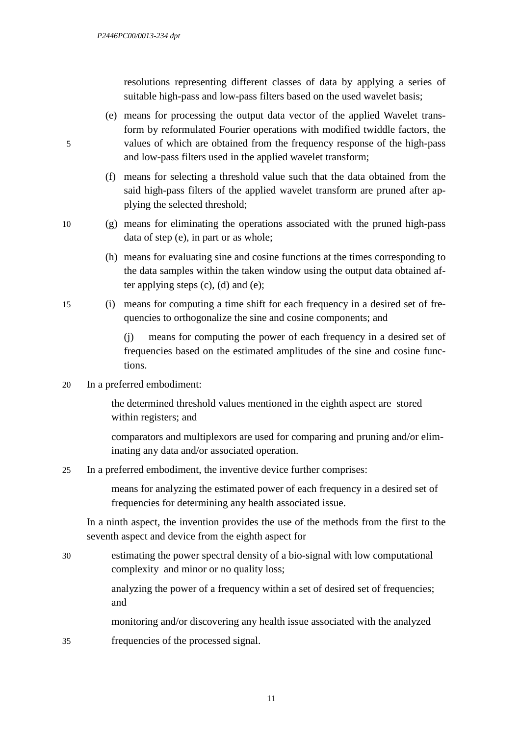resolutions representing different classes of data by applying a series of suitable high-pass and low-pass filters based on the used wavelet basis;

- (e) means for processing the output data vector of the applied Wavelet transform by reformulated Fourier operations with modified twiddle factors, the 5 values of which are obtained from the frequency response of the high-pass and low-pass filters used in the applied wavelet transform;
	- (f) means for selecting a threshold value such that the data obtained from the said high-pass filters of the applied wavelet transform are pruned after applying the selected threshold;
- 10 (g) means for eliminating the operations associated with the pruned high-pass data of step (e), in part or as whole;
	- (h) means for evaluating sine and cosine functions at the times corresponding to the data samples within the taken window using the output data obtained after applying steps  $(c)$ ,  $(d)$  and  $(e)$ ;
- 15 (i) means for computing a time shift for each frequency in a desired set of frequencies to orthogonalize the sine and cosine components; and

(j) means for computing the power of each frequency in a desired set of frequencies based on the estimated amplitudes of the sine and cosine functions.

20 In a preferred embodiment:

the determined threshold values mentioned in the eighth aspect are stored within registers; and

comparators and multiplexors are used for comparing and pruning and/or eliminating any data and/or associated operation.

25 In a preferred embodiment, the inventive device further comprises:

means for analyzing the estimated power of each frequency in a desired set of frequencies for determining any health associated issue.

In a ninth aspect, the invention provides the use of the methods from the first to the seventh aspect and device from the eighth aspect for

- 30 estimating the power spectral density of a bio-signal with low computational complexity and minor or no quality loss; analyzing the power of a frequency within a set of desired set of frequencies; and monitoring and/or discovering any health issue associated with the analyzed
- 35 frequencies of the processed signal.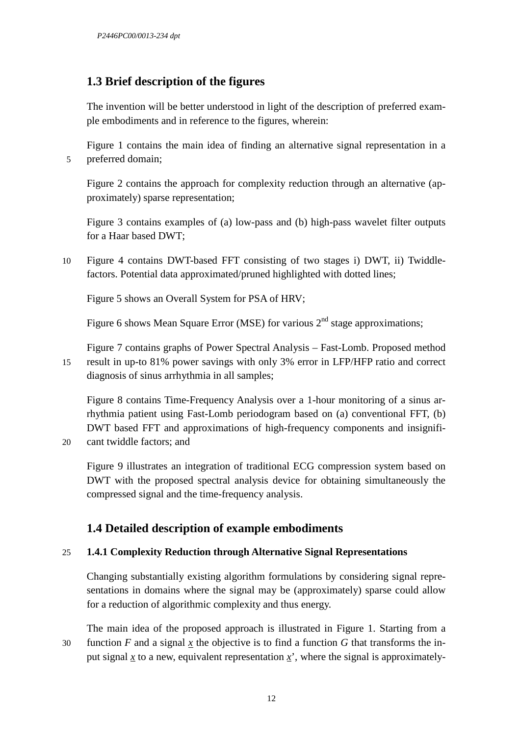# **1.3 Brief description of the figures**

The invention will be better understood in light of the description of preferred example embodiments and in reference to the figures, wherein:

Figure 1 contains the main idea of finding an alternative signal representation in a 5 preferred domain;

Figure 2 contains the approach for complexity reduction through an alternative (approximately) sparse representation;

Figure 3 contains examples of (a) low-pass and (b) high-pass wavelet filter outputs for a Haar based DWT;

10 Figure 4 contains DWT-based FFT consisting of two stages i) DWT, ii) Twiddlefactors. Potential data approximated/pruned highlighted with dotted lines;

Figure 5 shows an Overall System for PSA of HRV;

Figure 6 shows Mean Square Error (MSE) for various  $2<sup>nd</sup>$  stage approximations;

Figure 7 contains graphs of Power Spectral Analysis – Fast-Lomb. Proposed method 15 result in up-to 81% power savings with only 3% error in LFP/HFP ratio and correct diagnosis of sinus arrhythmia in all samples;

Figure 8 contains Time-Frequency Analysis over a 1-hour monitoring of a sinus arrhythmia patient using Fast-Lomb periodogram based on (a) conventional FFT, (b) DWT based FFT and approximations of high-frequency components and insignifi-

20 cant twiddle factors; and

Figure 9 illustrates an integration of traditional ECG compression system based on DWT with the proposed spectral analysis device for obtaining simultaneously the compressed signal and the time-frequency analysis.

# **1.4 Detailed description of example embodiments**

## 25 **1.4.1 Complexity Reduction through Alternative Signal Representations**

Changing substantially existing algorithm formulations by considering signal representations in domains where the signal may be (approximately) sparse could allow for a reduction of algorithmic complexity and thus energy.

The main idea of the proposed approach is illustrated in Figure 1. Starting from a 30 function  $F$  and a signal  $x$  the objective is to find a function  $G$  that transforms the input signal *x* to a new, equivalent representation  $x'$ , where the signal is approximately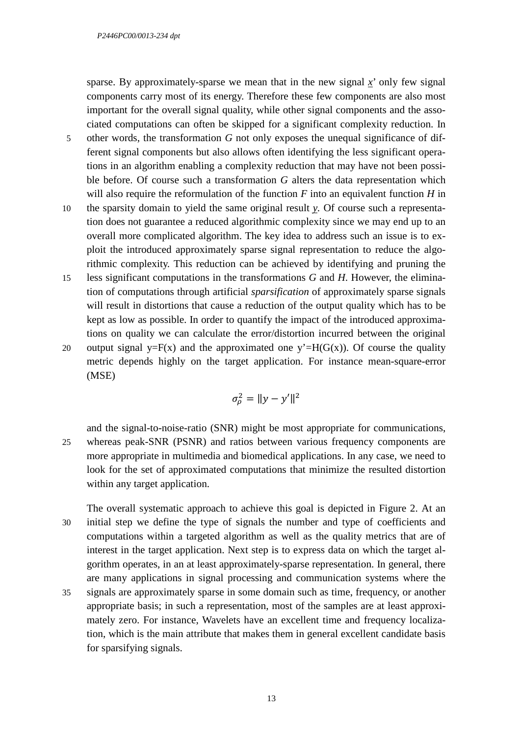sparse. By approximately-sparse we mean that in the new signal  $x'$  only few signal components carry most of its energy. Therefore these few components are also most important for the overall signal quality, while other signal components and the associated computations can often be skipped for a significant complexity reduction. In

- 5 other words, the transformation *G* not only exposes the unequal significance of different signal components but also allows often identifying the less significant operations in an algorithm enabling a complexity reduction that may have not been possible before. Of course such a transformation *G* alters the data representation which will also require the reformulation of the function *F* into an equivalent function *H* in
- 10 the sparsity domain to yield the same original result *y.* Of course such a representation does not guarantee a reduced algorithmic complexity since we may end up to an overall more complicated algorithm. The key idea to address such an issue is to exploit the introduced approximately sparse signal representation to reduce the algorithmic complexity. This reduction can be achieved by identifying and pruning the
- 15 less significant computations in the transformations *G* and *H*. However, the elimination of computations through artificial *sparsification* of approximately sparse signals will result in distortions that cause a reduction of the output quality which has to be kept as low as possible. In order to quantify the impact of the introduced approximations on quality we can calculate the error/distortion incurred between the original

20 output signal y=F(x) and the approximated one y'=H(G(x)). Of course the quality metric depends highly on the target application. For instance mean-square-error (MSE)

$$
\sigma_\rho^2 = ||y - y'||^2
$$

and the signal-to-noise-ratio (SNR) might be most appropriate for communications, 25 whereas peak-SNR (PSNR) and ratios between various frequency components are more appropriate in multimedia and biomedical applications. In any case, we need to look for the set of approximated computations that minimize the resulted distortion within any target application.

- The overall systematic approach to achieve this goal is depicted in Figure 2. At an 30 initial step we define the type of signals the number and type of coefficients and computations within a targeted algorithm as well as the quality metrics that are of interest in the target application. Next step is to express data on which the target algorithm operates, in an at least approximately-sparse representation. In general, there are many applications in signal processing and communication systems where the
- 35 signals are approximately sparse in some domain such as time, frequency, or another appropriate basis; in such a representation, most of the samples are at least approximately zero. For instance, Wavelets have an excellent time and frequency localization, which is the main attribute that makes them in general excellent candidate basis for sparsifying signals.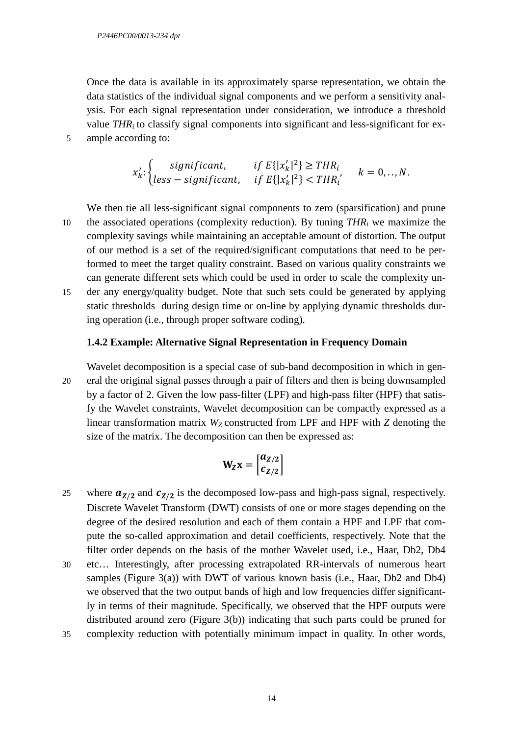Once the data is available in its approximately sparse representation, we obtain the data statistics of the individual signal components and we perform a sensitivity analysis. For each signal representation under consideration, we introduce a threshold value  $THR_i$  to classify signal components into significant and less-significant for ex-5 ample according to:

$$
x'_{k}:\begin{cases} significant, & if E\{|x'_{k}|^{2}\} \geq THR_{i} \\ less-significant, & if E\{|x'_{k}|^{2}\} < THR_{i} \end{cases} k = 0,..,N.
$$

We then tie all less-significant signal components to zero (sparsification) and prune the associated operations (complexity reduction). By tuning  $THR_i$  we maximize the complexity savings while maintaining an acceptable amount of distortion. The output of our method is a set of the required/significant computations that need to be performed to meet the target quality constraint. Based on various quality constraints we can generate different sets which could be used in order to scale the complexity un-15 der any energy/quality budget. Note that such sets could be generated by applying static thresholds during design time or on-line by applying dynamic thresholds during operation (i.e., through proper software coding).

#### **1.4.2 Example: Alternative Signal Representation in Frequency Domain**

Wavelet decomposition is a special case of sub-band decomposition in which in gen-20 eral the original signal passes through a pair of filters and then is being downsampled by a factor of 2. Given the low pass-filter (LPF) and high-pass filter (HPF) that satisfy the Wavelet constraints, Wavelet decomposition can be compactly expressed as a linear transformation matrix  $W_Z$  constructed from LPF and HPF with  $Z$  denoting the size of the matrix. The decomposition can then be expressed as:

$$
W_Z X = \begin{bmatrix} a_{Z/2} \\ c_{Z/2} \end{bmatrix}
$$

- 25 where  $a_{Z/2}$  and  $c_{Z/2}$  is the decomposed low-pass and high-pass signal, respectively. Discrete Wavelet Transform (DWT) consists of one or more stages depending on the degree of the desired resolution and each of them contain a HPF and LPF that compute the so-called approximation and detail coefficients, respectively. Note that the filter order depends on the basis of the mother Wavelet used, i.e., Haar, Db2, Db4 30 etc… Interestingly, after processing extrapolated RR-intervals of numerous heart samples (Figure  $3(a)$ ) with DWT of various known basis (i.e., Haar, Db2 and Db4) we observed that the two output bands of high and low frequencies differ significantly in terms of their magnitude. Specifically, we observed that the HPF outputs were
- distributed around zero (Figure 3(b)) indicating that such parts could be pruned for 35 complexity reduction with potentially minimum impact in quality. In other words,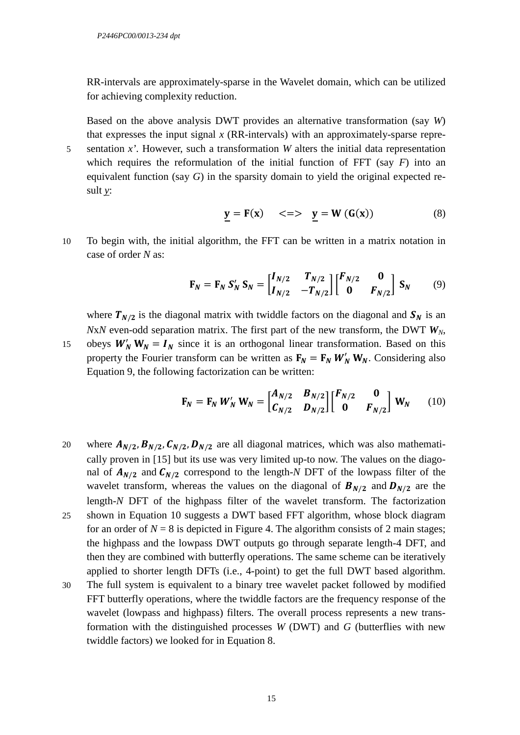RR-intervals are approximately-sparse in the Wavelet domain, which can be utilized for achieving complexity reduction.

Based on the above analysis DWT provides an alternative transformation (say *W*) that expresses the input signal  $x$  (RR-intervals) with an approximately-sparse repre-5 sentation *x'*. However, such a transformation *W* alters the initial data representation

which requires the reformulation of the initial function of FFT (say *F*) into an equivalent function (say *G*) in the sparsity domain to yield the original expected result *y*:

$$
\underline{y} = F(x) \quad \iff \underline{y} = W(G(x)) \tag{8}
$$

10 To begin with, the initial algorithm, the FFT can be written in a matrix notation in case of order *N* as:

$$
\mathbf{F}_N = \mathbf{F}_N \, \mathbf{S}'_N \, \mathbf{S}_N = \begin{bmatrix} I_{N/2} & T_{N/2} \\ I_{N/2} & -T_{N/2} \end{bmatrix} \begin{bmatrix} F_{N/2} & \mathbf{0} \\ \mathbf{0} & F_{N/2} \end{bmatrix} \, \mathbf{S}_N \tag{9}
$$

where  $T_{N/2}$  is the diagonal matrix with twiddle factors on the diagonal and  $S_N$  is an *NxN* even-odd separation matrix. The first part of the new transform, the DWT  $W_N$ ,

15 obeys  $W'_N W_N = I_N$  since it is an orthogonal linear transformation. Based on this property the Fourier transform can be written as  $F_N = F_N W'_N W_N$ . Considering also Equation 9, the following factorization can be written:

$$
\mathbf{F}_N = \mathbf{F}_N \ W'_N \ \mathbf{W}_N = \begin{bmatrix} A_{N/2} & B_{N/2} \\ C_{N/2} & D_{N/2} \end{bmatrix} \begin{bmatrix} F_{N/2} & \mathbf{0} \\ \mathbf{0} & F_{N/2} \end{bmatrix} \ \mathbf{W}_N \qquad (10)
$$

- 20 where  $A_{N/2}$ ,  $B_{N/2}$ ,  $C_{N/2}$ ,  $D_{N/2}$  are all diagonal matrices, which was also mathematically proven in [15] but its use was very limited up-to now. The values on the diagonal of  $A_{N/2}$  and  $C_{N/2}$  correspond to the length-*N* DFT of the lowpass filter of the wavelet transform, whereas the values on the diagonal of  $B_{N/2}$  and  $D_{N/2}$  are the length-*N* DFT of the highpass filter of the wavelet transform. The factorization 25 shown in Equation 10 suggests a DWT based FFT algorithm, whose block diagram for an order of  $N = 8$  is depicted in Figure 4. The algorithm consists of 2 main stages; the highpass and the lowpass DWT outputs go through separate length-4 DFT, and
- then they are combined with butterfly operations. The same scheme can be iteratively applied to shorter length DFTs (i.e., 4-point) to get the full DWT based algorithm.
- 30 The full system is equivalent to a binary tree wavelet packet followed by modified FFT butterfly operations, where the twiddle factors are the frequency response of the wavelet (lowpass and highpass) filters. The overall process represents a new transformation with the distinguished processes *W* (DWT) and *G* (butterflies with new twiddle factors) we looked for in Equation 8.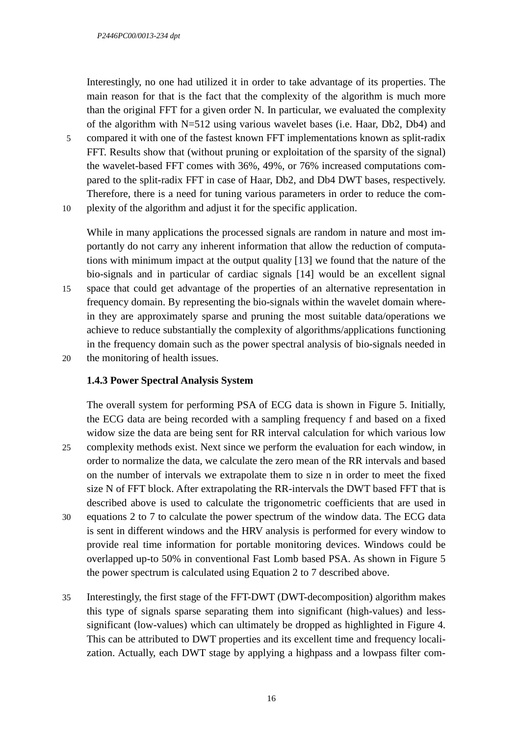Interestingly, no one had utilized it in order to take advantage of its properties. The main reason for that is the fact that the complexity of the algorithm is much more than the original FFT for a given order N. In particular, we evaluated the complexity of the algorithm with N=512 using various wavelet bases (i.e. Haar, Db2, Db4) and

5 compared it with one of the fastest known FFT implementations known as split-radix FFT. Results show that (without pruning or exploitation of the sparsity of the signal) the wavelet-based FFT comes with 36%, 49%, or 76% increased computations compared to the split-radix FFT in case of Haar, Db2, and Db4 DWT bases, respectively. Therefore, there is a need for tuning various parameters in order to reduce the com-10 plexity of the algorithm and adjust it for the specific application.

While in many applications the processed signals are random in nature and most importantly do not carry any inherent information that allow the reduction of computations with minimum impact at the output quality [13] we found that the nature of the bio-signals and in particular of cardiac signals [14] would be an excellent signal

15 space that could get advantage of the properties of an alternative representation in frequency domain. By representing the bio-signals within the wavelet domain wherein they are approximately sparse and pruning the most suitable data/operations we achieve to reduce substantially the complexity of algorithms/applications functioning in the frequency domain such as the power spectral analysis of bio-signals needed in 20 the monitoring of health issues.

#### **1.4.3 Power Spectral Analysis System**

The overall system for performing PSA of ECG data is shown in Figure 5. Initially, the ECG data are being recorded with a sampling frequency f and based on a fixed widow size the data are being sent for RR interval calculation for which various low 25 complexity methods exist. Next since we perform the evaluation for each window, in order to normalize the data, we calculate the zero mean of the RR intervals and based on the number of intervals we extrapolate them to size n in order to meet the fixed size N of FFT block. After extrapolating the RR-intervals the DWT based FFT that is described above is used to calculate the trigonometric coefficients that are used in 30 equations 2 to 7 to calculate the power spectrum of the window data. The ECG data is sent in different windows and the HRV analysis is performed for every window to provide real time information for portable monitoring devices. Windows could be overlapped up-to 50% in conventional Fast Lomb based PSA. As shown in Figure 5

35 Interestingly, the first stage of the FFT-DWT (DWT-decomposition) algorithm makes this type of signals sparse separating them into significant (high-values) and lesssignificant (low-values) which can ultimately be dropped as highlighted in Figure 4. This can be attributed to DWT properties and its excellent time and frequency localization. Actually, each DWT stage by applying a highpass and a lowpass filter com-

the power spectrum is calculated using Equation 2 to 7 described above.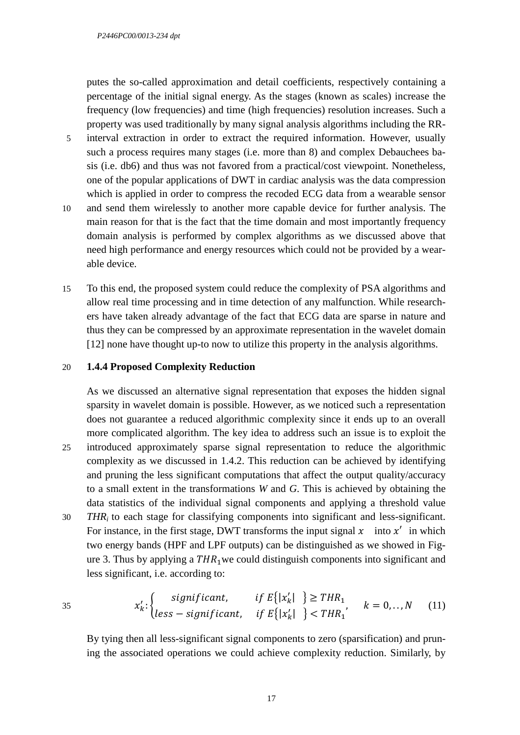putes the so-called approximation and detail coefficients, respectively containing a percentage of the initial signal energy. As the stages (known as scales) increase the frequency (low frequencies) and time (high frequencies) resolution increases. Such a property was used traditionally by many signal analysis algorithms including the RR-

- 5 interval extraction in order to extract the required information. However, usually such a process requires many stages (i.e. more than 8) and complex Debauchees basis (i.e. db6) and thus was not favored from a practical/cost viewpoint. Nonetheless, one of the popular applications of DWT in cardiac analysis was the data compression which is applied in order to compress the recoded ECG data from a wearable sensor
- 10 and send them wirelessly to another more capable device for further analysis. The main reason for that is the fact that the time domain and most importantly frequency domain analysis is performed by complex algorithms as we discussed above that need high performance and energy resources which could not be provided by a wearable device.
- 15 To this end, the proposed system could reduce the complexity of PSA algorithms and allow real time processing and in time detection of any malfunction. While researchers have taken already advantage of the fact that ECG data are sparse in nature and thus they can be compressed by an approximate representation in the wavelet domain [12] none have thought up-to now to utilize this property in the analysis algorithms.

#### 20 **1.4.4 Proposed Complexity Reduction**

As we discussed an alternative signal representation that exposes the hidden signal sparsity in wavelet domain is possible. However, as we noticed such a representation does not guarantee a reduced algorithmic complexity since it ends up to an overall more complicated algorithm. The key idea to address such an issue is to exploit the 25 introduced approximately sparse signal representation to reduce the algorithmic complexity as we discussed in 1.4.2. This reduction can be achieved by identifying and pruning the less significant computations that affect the output quality/accuracy to a small extent in the transformations *W* and *G*. This is achieved by obtaining the data statistics of the individual signal components and applying a threshold value

30 *THRi* to each stage for classifying components into significant and less-significant. For instance, in the first stage, DWT transforms the input signal  $x$  into  $x'$  in which two energy bands (HPF and LPF outputs) can be distinguished as we showed in Figure 3. Thus by applying a  $THR<sub>1</sub>$  we could distinguish components into significant and less significant, i.e. according to:

35 
$$
x'_{k}:\begin{cases} significant, & if E\{|x'_{k}| \}\geq THR_{1} \\ less-significant, & if E\{|x'_{k}| \}\leq THR_{1} \end{cases} k=0,..,N \quad (11)
$$

By tying then all less-significant signal components to zero (sparsification) and pruning the associated operations we could achieve complexity reduction. Similarly, by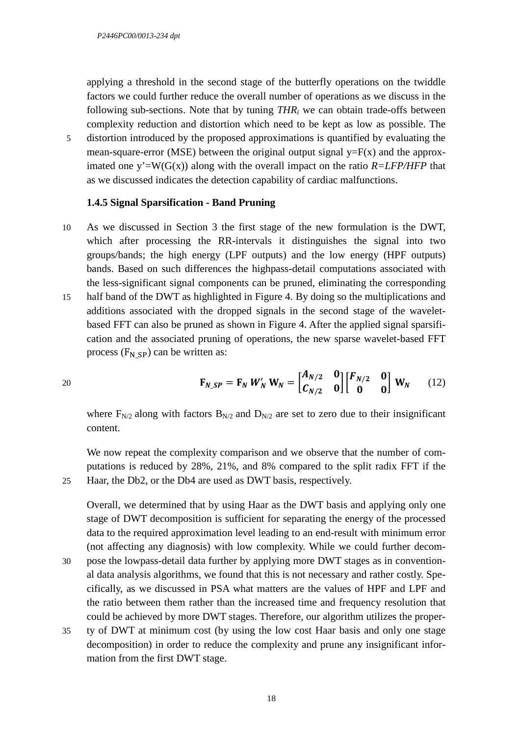applying a threshold in the second stage of the butterfly operations on the twiddle factors we could further reduce the overall number of operations as we discuss in the following sub-sections. Note that by tuning  $THR_i$  we can obtain trade-offs between complexity reduction and distortion which need to be kept as low as possible. The

5 distortion introduced by the proposed approximations is quantified by evaluating the mean-square-error (MSE) between the original output signal  $y=F(x)$  and the approximated one  $y'=W(G(x))$  along with the overall impact on the ratio  $R=LFP/HFP$  that as we discussed indicates the detection capability of cardiac malfunctions.

#### **1.4.5 Signal Sparsification - Band Pruning**

- 10 As we discussed in Section 3 the first stage of the new formulation is the DWT, which after processing the RR-intervals it distinguishes the signal into two groups/bands; the high energy (LPF outputs) and the low energy (HPF outputs) bands. Based on such differences the highpass-detail computations associated with the less-significant signal components can be pruned, eliminating the corresponding
- 15 half band of the DWT as highlighted in Figure 4. By doing so the multiplications and additions associated with the dropped signals in the second stage of the waveletbased FFT can also be pruned as shown in Figure 4. After the applied signal sparsification and the associated pruning of operations, the new sparse wavelet-based FFT process  $(F_N \n<sub>SP</sub>)$  can be written as:

$$
\mathbf{F}_{N\_SP} = \mathbf{F}_N \, \boldsymbol{W}'_N \, \mathbf{W}_N = \begin{bmatrix} A_{N/2} & \mathbf{0} \\ C_{N/2} & \mathbf{0} \end{bmatrix} \begin{bmatrix} F_{N/2} & \mathbf{0} \\ \mathbf{0} & \mathbf{0} \end{bmatrix} \, \mathbf{W}_N \tag{12}
$$

where  $F_{N/2}$  along with factors  $B_{N/2}$  and  $D_{N/2}$  are set to zero due to their insignificant content.

We now repeat the complexity comparison and we observe that the number of computations is reduced by 28%, 21%, and 8% compared to the split radix FFT if the 25 Haar, the Db2, or the Db4 are used as DWT basis, respectively.

Overall, we determined that by using Haar as the DWT basis and applying only one stage of DWT decomposition is sufficient for separating the energy of the processed data to the required approximation level leading to an end-result with minimum error (not affecting any diagnosis) with low complexity. While we could further decom-

- 30 pose the lowpass-detail data further by applying more DWT stages as in conventional data analysis algorithms, we found that this is not necessary and rather costly. Specifically, as we discussed in PSA what matters are the values of HPF and LPF and the ratio between them rather than the increased time and frequency resolution that could be achieved by more DWT stages. Therefore, our algorithm utilizes the proper-
- 35 ty of DWT at minimum cost (by using the low cost Haar basis and only one stage decomposition) in order to reduce the complexity and prune any insignificant information from the first DWT stage.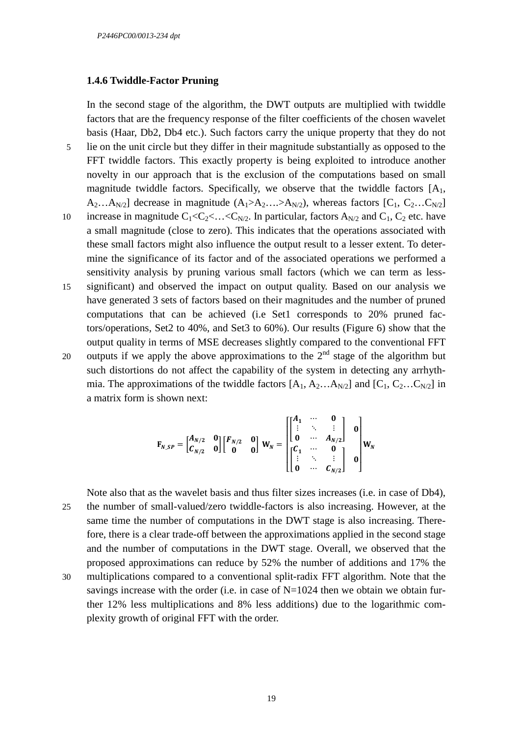#### **1.4.6 Twiddle-Factor Pruning**

In the second stage of the algorithm, the DWT outputs are multiplied with twiddle factors that are the frequency response of the filter coefficients of the chosen wavelet basis (Haar, Db2, Db4 etc.). Such factors carry the unique property that they do not

- 5 lie on the unit circle but they differ in their magnitude substantially as opposed to the FFT twiddle factors. This exactly property is being exploited to introduce another novelty in our approach that is the exclusion of the computations based on small magnitude twiddle factors. Specifically, we observe that the twiddle factors  $[A_1, A_2]$  $A_2...A_{N/2}$ ] decrease in magnitude  $(A_1>A_2...A_{N/2})$ , whereas factors  $[C_1, C_2...C_{N/2}]$
- 10 increase in magnitude  $C_1 < C_2 < ... < C_{N/2}$ . In particular, factors  $A_{N/2}$  and  $C_1$ ,  $C_2$  etc. have a small magnitude (close to zero). This indicates that the operations associated with these small factors might also influence the output result to a lesser extent. To determine the significance of its factor and of the associated operations we performed a sensitivity analysis by pruning various small factors (which we can term as less-
- 15 significant) and observed the impact on output quality. Based on our analysis we have generated 3 sets of factors based on their magnitudes and the number of pruned computations that can be achieved (i.e Set1 corresponds to 20% pruned factors/operations, Set2 to 40%, and Set3 to 60%). Our results (Figure 6) show that the output quality in terms of MSE decreases slightly compared to the conventional FFT
- 20 outputs if we apply the above approximations to the  $2<sup>nd</sup>$  stage of the algorithm but such distortions do not affect the capability of the system in detecting any arrhythmia. The approximations of the twiddle factors  $[A_1, A_2...A_{N/2}]$  and  $[C_1, C_2...C_{N/2}]$  in a matrix form is shown next:

$$
\mathbf{F}_{N,SP} = \begin{bmatrix} A_{N/2} & 0 \\ C_{N/2} & 0 \end{bmatrix} \begin{bmatrix} F_{N/2} & 0 \\ 0 & 0 \end{bmatrix} \mathbf{W}_N = \begin{bmatrix} A_1 & \cdots & 0 \\ \begin{bmatrix} 1 & \ddots & \vdots \\ 0 & \cdots & A_{N/2} \end{bmatrix} & 0 \\ \begin{bmatrix} C_1 & \cdots & 0 \\ \vdots & \ddots & \vdots \\ 0 & \cdots & C_{N/2} \end{bmatrix} & 0 \end{bmatrix} \mathbf{W}_N
$$

Note also that as the wavelet basis and thus filter sizes increases (i.e. in case of Db4), 25 the number of small-valued/zero twiddle-factors is also increasing. However, at the same time the number of computations in the DWT stage is also increasing. Therefore, there is a clear trade-off between the approximations applied in the second stage and the number of computations in the DWT stage. Overall, we observed that the proposed approximations can reduce by 52% the number of additions and 17% the 30 multiplications compared to a conventional split-radix FFT algorithm. Note that the savings increase with the order (i.e. in case of  $N=1024$  then we obtain we obtain further 12% less multiplications and 8% less additions) due to the logarithmic complexity growth of original FFT with the order.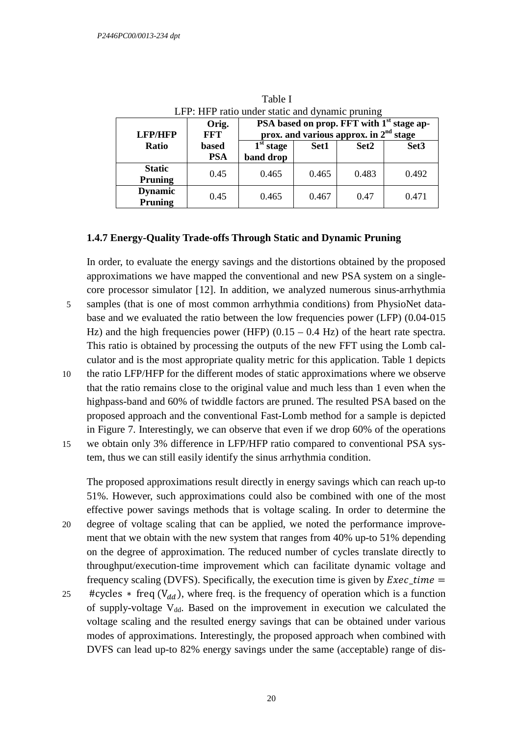| LFP: HFP ratio under static and dynamic pruning |                           |                            |                                                                                                   |       |       |                  |
|-------------------------------------------------|---------------------------|----------------------------|---------------------------------------------------------------------------------------------------|-------|-------|------------------|
|                                                 | <b>LFP/HFP</b>            | Orig.<br><b>FFT</b>        | PSA based on prop. FFT with 1 <sup>st</sup> stage ap-<br>prox. and various approx. in $2nd$ stage |       |       |                  |
|                                                 | Ratio                     | <b>based</b><br><b>PSA</b> | 1 <sup>st</sup> stage<br>band drop                                                                | Set1  | Set2  | Set <sub>3</sub> |
|                                                 | <b>Static</b><br>Pruning  | 0.45                       | 0.465                                                                                             | 0.465 | 0.483 | 0.492            |
|                                                 | <b>Dynamic</b><br>Pruning | 0.45                       | 0.465                                                                                             | 0.467 | 0.47  | 0.471            |

Table I LFP: HFP ratio under static and dynamic pruning

#### **1.4.7 Energy-Quality Trade-offs Through Static and Dynamic Pruning**

In order, to evaluate the energy savings and the distortions obtained by the proposed approximations we have mapped the conventional and new PSA system on a singlecore processor simulator [12]. In addition, we analyzed numerous sinus-arrhythmia 5 samples (that is one of most common arrhythmia conditions) from PhysioNet database and we evaluated the ratio between the low frequencies power (LFP) (0.04-015 Hz) and the high frequencies power (HFP)  $(0.15 - 0.4 \text{ Hz})$  of the heart rate spectra. This ratio is obtained by processing the outputs of the new FFT using the Lomb calculator and is the most appropriate quality metric for this application. Table 1 depicts 10 the ratio LFP/HFP for the different modes of static approximations where we observe

that the ratio remains close to the original value and much less than 1 even when the highpass-band and 60% of twiddle factors are pruned. The resulted PSA based on the proposed approach and the conventional Fast-Lomb method for a sample is depicted in Figure 7. Interestingly, we can observe that even if we drop 60% of the operations 15 we obtain only 3% difference in LFP/HFP ratio compared to conventional PSA sys-

tem, thus we can still easily identify the sinus arrhythmia condition.

The proposed approximations result directly in energy savings which can reach up-to 51%. However, such approximations could also be combined with one of the most effective power savings methods that is voltage scaling. In order to determine the 20 degree of voltage scaling that can be applied, we noted the performance improve-

- ment that we obtain with the new system that ranges from 40% up-to 51% depending on the degree of approximation. The reduced number of cycles translate directly to throughput/execution-time improvement which can facilitate dynamic voltage and frequency scaling (DVFS). Specifically, the execution time is given by  $Exec\_time =$
- 25 #cycles  $*$  freq  $(V_{dd})$ , where freq. is the frequency of operation which is a function of supply-voltage  $V_{dd}$ . Based on the improvement in execution we calculated the voltage scaling and the resulted energy savings that can be obtained under various modes of approximations. Interestingly, the proposed approach when combined with DVFS can lead up-to 82% energy savings under the same (acceptable) range of dis-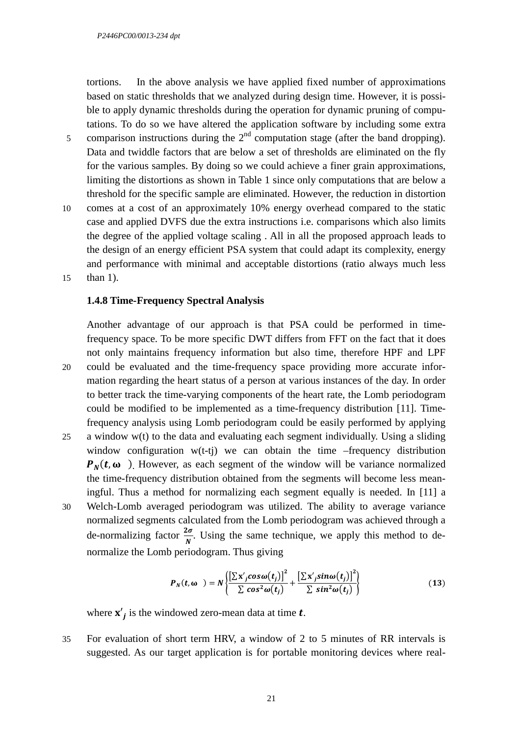tortions. In the above analysis we have applied fixed number of approximations based on static thresholds that we analyzed during design time. However, it is possible to apply dynamic thresholds during the operation for dynamic pruning of computations. To do so we have altered the application software by including some extra

- 5 comparison instructions during the  $2<sup>nd</sup>$  computation stage (after the band dropping). Data and twiddle factors that are below a set of thresholds are eliminated on the fly for the various samples. By doing so we could achieve a finer grain approximations, limiting the distortions as shown in Table 1 since only computations that are below a threshold for the specific sample are eliminated. However, the reduction in distortion
- 10 comes at a cost of an approximately 10% energy overhead compared to the static case and applied DVFS due the extra instructions i.e. comparisons which also limits the degree of the applied voltage scaling . All in all the proposed approach leads to the design of an energy efficient PSA system that could adapt its complexity, energy and performance with minimal and acceptable distortions (ratio always much less 15 than 1).

#### **1.4.8 Time-Frequency Spectral Analysis**

Another advantage of our approach is that PSA could be performed in timefrequency space. To be more specific DWT differs from FFT on the fact that it does not only maintains frequency information but also time, therefore HPF and LPF 20 could be evaluated and the time-frequency space providing more accurate information regarding the heart status of a person at various instances of the day. In order to better track the time-varying components of the heart rate, the Lomb periodogram could be modified to be implemented as a time-frequency distribution [11]. Timefrequency analysis using Lomb periodogram could be easily performed by applying 25 a window w(t) to the data and evaluating each segment individually. Using a sliding window configuration  $w(t-t)$  we can obtain the time –frequency distribution  $P_N(t, \omega)$ . However, as each segment of the window will be variance normalized the time-frequency distribution obtained from the segments will become less meaningful. Thus a method for normalizing each segment equally is needed. In [11] a 30 Welch-Lomb averaged periodogram was utilized. The ability to average variance normalized segments calculated from the Lomb periodogram was achieved through a de-normalizing factor  $\frac{2\sigma}{N}$ . Using the same technique, we apply this method to denormalize the Lomb periodogram. Thus giving

$$
P_N(t, \omega) = N \left\{ \frac{\left[ \sum x'_j cos \omega(t_j) \right]^2}{\sum cos^2 \omega(t_j)} + \frac{\left[ \sum x'_j sin \omega(t_j) \right]^2}{\sum sin^2 \omega(t_j)} \right\}
$$
(13)

where  $\mathbf{x}'_j$  is the windowed zero-mean data at time  $t$ .

35 For evaluation of short term HRV, a window of 2 to 5 minutes of RR intervals is suggested. As our target application is for portable monitoring devices where real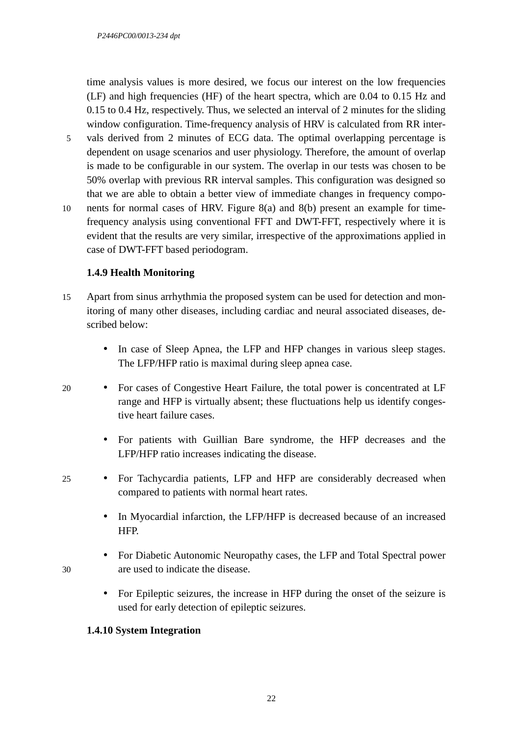time analysis values is more desired, we focus our interest on the low frequencies (LF) and high frequencies (HF) of the heart spectra, which are 0.04 to 0.15 Hz and 0.15 to 0.4 Hz, respectively. Thus, we selected an interval of 2 minutes for the sliding window configuration. Time-frequency analysis of HRV is calculated from RR inter-

- 5 vals derived from 2 minutes of ECG data. The optimal overlapping percentage is dependent on usage scenarios and user physiology. Therefore, the amount of overlap is made to be configurable in our system. The overlap in our tests was chosen to be 50% overlap with previous RR interval samples. This configuration was designed so that we are able to obtain a better view of immediate changes in frequency compo-
- 10 nents for normal cases of HRV. Figure 8(a) and 8(b) present an example for timefrequency analysis using conventional FFT and DWT-FFT, respectively where it is evident that the results are very similar, irrespective of the approximations applied in case of DWT-FFT based periodogram.

## **1.4.9 Health Monitoring**

- 15 Apart from sinus arrhythmia the proposed system can be used for detection and monitoring of many other diseases, including cardiac and neural associated diseases, described below:
	- In case of Sleep Apnea, the LFP and HFP changes in various sleep stages. The LFP/HFP ratio is maximal during sleep apnea case.
- 20 For cases of Congestive Heart Failure, the total power is concentrated at LF range and HFP is virtually absent; these fluctuations help us identify congestive heart failure cases.
	- For patients with Guillian Bare syndrome, the HFP decreases and the LFP/HFP ratio increases indicating the disease.
- 25 For Tachycardia patients, LFP and HFP are considerably decreased when compared to patients with normal heart rates.
	- In Myocardial infarction, the LFP/HFP is decreased because of an increased HFP.
- For Diabetic Autonomic Neuropathy cases, the LFP and Total Spectral power 30 are used to indicate the disease.
	- For Epileptic seizures, the increase in HFP during the onset of the seizure is used for early detection of epileptic seizures.

## **1.4.10 System Integration**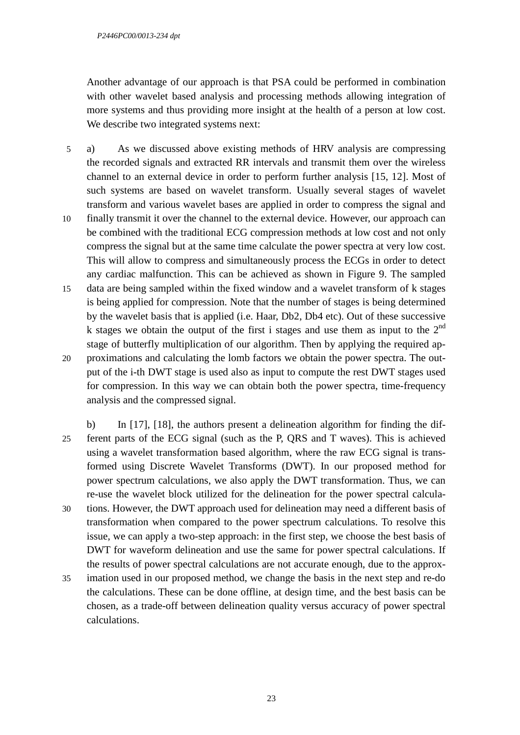Another advantage of our approach is that PSA could be performed in combination with other wavelet based analysis and processing methods allowing integration of more systems and thus providing more insight at the health of a person at low cost. We describe two integrated systems next:

- 5 a) As we discussed above existing methods of HRV analysis are compressing the recorded signals and extracted RR intervals and transmit them over the wireless channel to an external device in order to perform further analysis [15, 12]. Most of such systems are based on wavelet transform. Usually several stages of wavelet transform and various wavelet bases are applied in order to compress the signal and 10 finally transmit it over the channel to the external device. However, our approach can
- be combined with the traditional ECG compression methods at low cost and not only compress the signal but at the same time calculate the power spectra at very low cost. This will allow to compress and simultaneously process the ECGs in order to detect any cardiac malfunction. This can be achieved as shown in Figure 9. The sampled
- 15 data are being sampled within the fixed window and a wavelet transform of k stages is being applied for compression. Note that the number of stages is being determined by the wavelet basis that is applied (i.e. Haar, Db2, Db4 etc). Out of these successive k stages we obtain the output of the first i stages and use them as input to the  $2<sup>nd</sup>$ stage of butterfly multiplication of our algorithm. Then by applying the required ap-
- 20 proximations and calculating the lomb factors we obtain the power spectra. The output of the i-th DWT stage is used also as input to compute the rest DWT stages used for compression. In this way we can obtain both the power spectra, time-frequency analysis and the compressed signal.
- b) In [17], [18], the authors present a delineation algorithm for finding the dif-25 ferent parts of the ECG signal (such as the P, QRS and T waves). This is achieved using a wavelet transformation based algorithm, where the raw ECG signal is transformed using Discrete Wavelet Transforms (DWT). In our proposed method for power spectrum calculations, we also apply the DWT transformation. Thus, we can re-use the wavelet block utilized for the delineation for the power spectral calcula-30 tions. However, the DWT approach used for delineation may need a different basis of transformation when compared to the power spectrum calculations. To resolve this issue, we can apply a two-step approach: in the first step, we choose the best basis of DWT for waveform delineation and use the same for power spectral calculations. If the results of power spectral calculations are not accurate enough, due to the approx-
- 35 imation used in our proposed method, we change the basis in the next step and re-do the calculations. These can be done offline, at design time, and the best basis can be chosen, as a trade-off between delineation quality versus accuracy of power spectral calculations.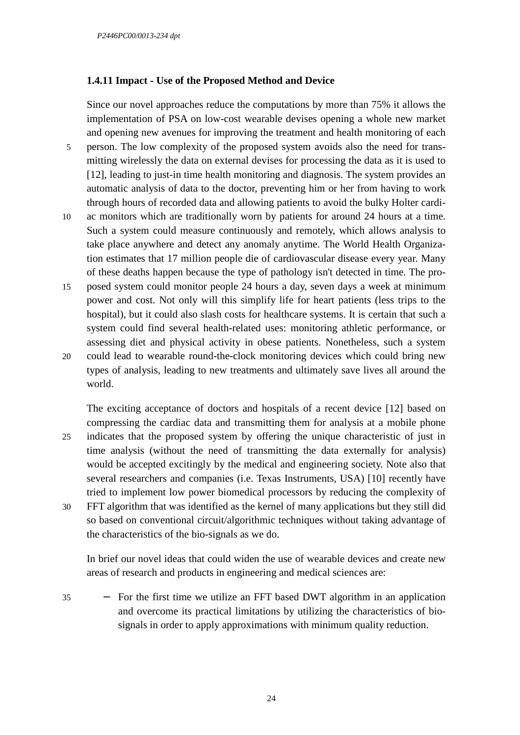### **1.4.11 Impact - Use of the Proposed Method and Device**

Since our novel approaches reduce the computations by more than 75% it allows the implementation of PSA on low-cost wearable devises opening a whole new market and opening new avenues for improving the treatment and health monitoring of each

- 5 person. The low complexity of the proposed system avoids also the need for transmitting wirelessly the data on external devises for processing the data as it is used to [12], leading to just-in time health monitoring and diagnosis. The system provides an automatic analysis of data to the doctor, preventing him or her from having to work through hours of recorded data and allowing patients to avoid the bulky Holter cardi-
- 10 ac monitors which are traditionally worn by patients for around 24 hours at a time. Such a system could measure continuously and remotely, which allows analysis to take place anywhere and detect any anomaly anytime. The World Health Organization estimates that 17 million people die of cardiovascular disease every year. Many of these deaths happen because the type of pathology isn't detected in time. The pro-
- 15 posed system could monitor people 24 hours a day, seven days a week at minimum power and cost. Not only will this simplify life for heart patients (less trips to the hospital), but it could also slash costs for healthcare systems. It is certain that such a system could find several health-related uses: monitoring athletic performance, or assessing diet and physical activity in obese patients. Nonetheless, such a system
- 20 could lead to wearable round-the-clock monitoring devices which could bring new types of analysis, leading to new treatments and ultimately save lives all around the world.

The exciting acceptance of doctors and hospitals of a recent device [12] based on compressing the cardiac data and transmitting them for analysis at a mobile phone 25 indicates that the proposed system by offering the unique characteristic of just in time analysis (without the need of transmitting the data externally for analysis) would be accepted excitingly by the medical and engineering society. Note also that several researchers and companies (i.e. Texas Instruments, USA) [10] recently have tried to implement low power biomedical processors by reducing the complexity of 30 FFT algorithm that was identified as the kernel of many applications but they still did so based on conventional circuit/algorithmic techniques without taking advantage of

In brief our novel ideas that could widen the use of wearable devices and create new areas of research and products in engineering and medical sciences are:

35 − For the first time we utilize an FFT based DWT algorithm in an application and overcome its practical limitations by utilizing the characteristics of biosignals in order to apply approximations with minimum quality reduction.

the characteristics of the bio-signals as we do.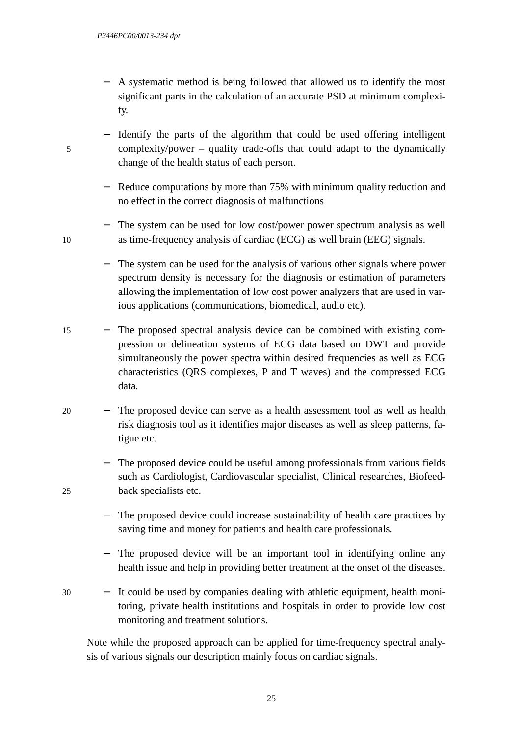- A systematic method is being followed that allowed us to identify the most significant parts in the calculation of an accurate PSD at minimum complexity.
- Identify the parts of the algorithm that could be used offering intelligent 5 complexity/power – quality trade-offs that could adapt to the dynamically change of the health status of each person.
	- Reduce computations by more than 75% with minimum quality reduction and no effect in the correct diagnosis of malfunctions
- − The system can be used for low cost/power power spectrum analysis as well 10 as time-frequency analysis of cardiac (ECG) as well brain (EEG) signals.
	- The system can be used for the analysis of various other signals where power spectrum density is necessary for the diagnosis or estimation of parameters allowing the implementation of low cost power analyzers that are used in various applications (communications, biomedical, audio etc).
- 15 − The proposed spectral analysis device can be combined with existing compression or delineation systems of ECG data based on DWT and provide simultaneously the power spectra within desired frequencies as well as ECG characteristics (QRS complexes, P and T waves) and the compressed ECG data.
- 20 − The proposed device can serve as a health assessment tool as well as health risk diagnosis tool as it identifies major diseases as well as sleep patterns, fatigue etc.

− The proposed device could be useful among professionals from various fields such as Cardiologist, Cardiovascular specialist, Clinical researches, Biofeed-25 back specialists etc.

- The proposed device could increase sustainability of health care practices by saving time and money for patients and health care professionals.
- − The proposed device will be an important tool in identifying online any health issue and help in providing better treatment at the onset of the diseases.
- 30 − It could be used by companies dealing with athletic equipment, health monitoring, private health institutions and hospitals in order to provide low cost monitoring and treatment solutions.

Note while the proposed approach can be applied for time-frequency spectral analysis of various signals our description mainly focus on cardiac signals.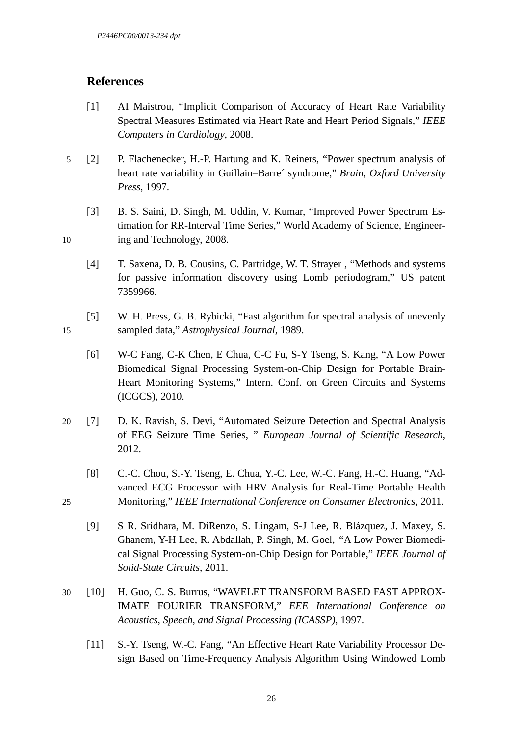# **References**

- [1] AI Maistrou, "Implicit Comparison of Accuracy of Heart Rate Variability Spectral Measures Estimated via Heart Rate and Heart Period Signals," *IEEE Computers in Cardiology*, 2008.
- 5 [2] P. Flachenecker, H.-P. Hartung and K. Reiners, "Power spectrum analysis of heart rate variability in Guillain–Barre´ syndrome," *Brain*, *Oxford University Press*, 1997.
- [3] B. S. Saini, D. Singh, M. Uddin, V. Kumar, "Improved Power Spectrum Estimation for RR-Interval Time Series," World Academy of Science, Engineer-10 ing and Technology, 2008.
	- [4] T. Saxena, D. B. Cousins, C. Partridge, W. T. Strayer , "Methods and systems for passive information discovery using Lomb periodogram," US patent 7359966.
- [5] W. H. Press, G. B. Rybicki, "Fast algorithm for spectral analysis of unevenly 15 sampled data," *Astrophysical Journal*, 1989.
	- [6] W-C Fang, C-K Chen, E Chua, C-C Fu, S-Y Tseng, S. Kang, "A Low Power Biomedical Signal Processing System-on-Chip Design for Portable Brain-Heart Monitoring Systems," Intern. Conf. on Green Circuits and Systems (ICGCS), 2010.
- 20 [7] D. K. Ravish, S. Devi, "Automated Seizure Detection and Spectral Analysis of EEG Seizure Time Series, " *European Journal of Scientific Research*, 2012.
- [8] C.-C. Chou, S.-Y. Tseng, E. Chua, Y.-C. Lee, W.-C. Fang, H.-C. Huang, "Advanced ECG Processor with HRV Analysis for Real-Time Portable Health 25 Monitoring," *IEEE International Conference on Consumer Electronics*, 2011.
	- [9] S R. Sridhara*,* M. DiRenzo*,* S. Lingam*,* S-J Lee*,* R. Blázquez*,* J. Maxey*,* S. Ghanem, Y-H Lee, R. Abdallah, P. Singh*,* M. Goel*, "*A Low Power Biomedical Signal Processing System-on-Chip Design for Portable," *IEEE Journal of Solid-State Circuits*, 2011.
- 30 [10] H. Guo, C. S. Burrus, "WAVELET TRANSFORM BASED FAST APPROX-IMATE FOURIER TRANSFORM," *EEE International Conference on Acoustics, Speech, and Signal Processing (ICASSP)*, 1997.
	- [11] S.-Y. Tseng, W.-C. Fang, "An Effective Heart Rate Variability Processor Design Based on Time-Frequency Analysis Algorithm Using Windowed Lomb

26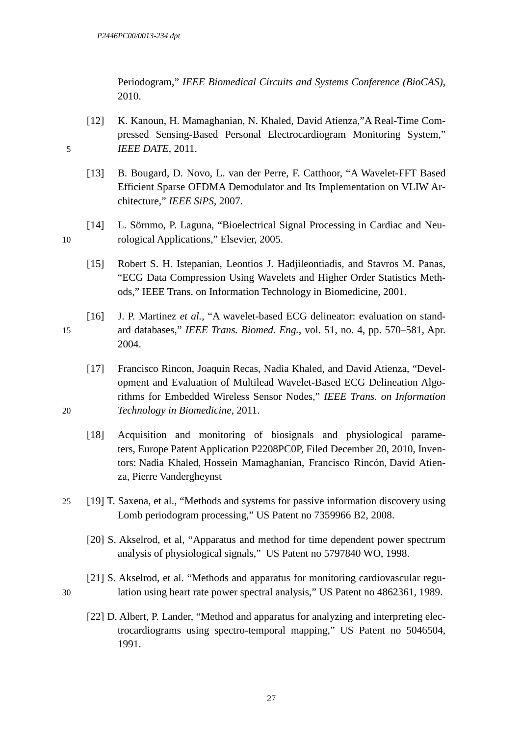Periodogram," *IEEE Biomedical Circuits and Systems Conference (BioCAS)*, 2010.

- [12] K. Kanoun, H. Mamaghanian, N. Khaled, David Atienza,"A Real-Time Compressed Sensing-Based Personal Electrocardiogram Monitoring System," 5 *IEEE DATE*, 2011.
	- [13] B. Bougard, D. Novo, L. van der Perre, F. Catthoor, "A Wavelet-FFT Based Efficient Sparse OFDMA Demodulator and Its Implementation on VLIW Architecture," *IEEE SiPS*, 2007.
- [14] L. Sörnmo, P. Laguna, "Bioelectrical Signal Processing in Cardiac and Neu-10 rological Applications," Elsevier, 2005.
	- [15] Robert S. H. Istepanian, Leontios J. Hadjileontiadis*,* and Stavros M. Panas*,* "ECG Data Compression Using Wavelets and Higher Order Statistics Methods," IEEE Trans. on Information Technology in Biomedicine, 2001.
- [16] J. P. Martinez *et al.*, "A wavelet-based ECG delineator: evaluation on stand-15 ard databases," *IEEE Trans. Biomed. Eng.*, vol. 51, no. 4, pp. 570–581, Apr. 2004.
- [17] Francisco Rincon, Joaquin Recas, Nadia Khaled, and David Atienza, "Development and Evaluation of Multilead Wavelet-Based ECG Delineation Algorithms for Embedded Wireless Sensor Nodes," *IEEE Trans. on Information*  20 *Technology in Biomedicine*, 2011.
	- [18] Acquisition and monitoring of biosignals and physiological parameters, Europe Patent Application P2208PC0P, Filed December 20, 2010, Inventors: Nadia Khaled, Hossein Mamaghanian, Francisco Rincón, David Atienza, Pierre Vandergheynst
- 25 [19] T. Saxena, et al., "Methods and systems for passive information discovery using Lomb periodogram processing," US Patent no 7359966 B2, 2008.
	- [20] S. Akselrod, et al, "Apparatus and method for time dependent power spectrum analysis of physiological signals," US Patent no 5797840 WO, 1998.
- [21] S. Akselrod, et al. "Methods and apparatus for monitoring cardiovascular regu-30 lation using heart rate power spectral analysis," US Patent no 4862361, 1989.
	- [22] D. Albert, P. Lander, "Method and apparatus for analyzing and interpreting electrocardiograms using spectro-temporal mapping," US Patent no 5046504, 1991.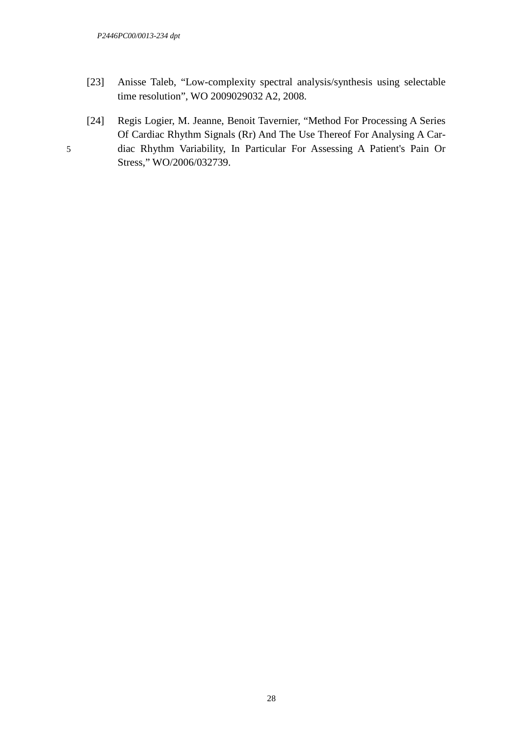- [23] Anisse Taleb, "Low-complexity spectral analysis/synthesis using selectable time resolution", WO 2009029032 A2, 2008.
- [24] Regis Logier, M. Jeanne, Benoit Tavernier, "Method For Processing A Series Of Cardiac Rhythm Signals (Rr) And The Use Thereof For Analysing A Car-5 diac Rhythm Variability, In Particular For Assessing A Patient's Pain Or Stress," WO/2006/032739.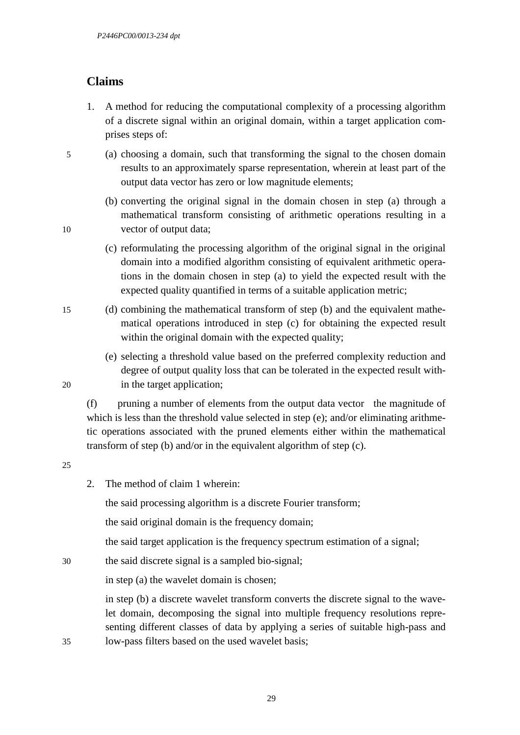# **Claims**

- 1. A method for reducing the computational complexity of a processing algorithm of a discrete signal within an original domain, within a target application comprises steps of:
- 5 (a) choosing a domain, such that transforming the signal to the chosen domain results to an approximately sparse representation, wherein at least part of the output data vector has zero or low magnitude elements;
- (b) converting the original signal in the domain chosen in step (a) through a mathematical transform consisting of arithmetic operations resulting in a 10 vector of output data;
	- (c) reformulating the processing algorithm of the original signal in the original domain into a modified algorithm consisting of equivalent arithmetic operations in the domain chosen in step (a) to yield the expected result with the expected quality quantified in terms of a suitable application metric;
- 15 (d) combining the mathematical transform of step (b) and the equivalent mathematical operations introduced in step (c) for obtaining the expected result within the original domain with the expected quality;
- (e) selecting a threshold value based on the preferred complexity reduction and degree of output quality loss that can be tolerated in the expected result with-20 in the target application;

(f) pruning a number of elements from the output data vector the magnitude of which is less than the threshold value selected in step (e); and/or eliminating arithmetic operations associated with the pruned elements either within the mathematical transform of step (b) and/or in the equivalent algorithm of step (c).

#### 25

2. The method of claim 1 wherein:

the said processing algorithm is a discrete Fourier transform;

the said original domain is the frequency domain;

the said target application is the frequency spectrum estimation of a signal;

30 the said discrete signal is a sampled bio-signal;

in step (a) the wavelet domain is chosen;

in step (b) a discrete wavelet transform converts the discrete signal to the wavelet domain, decomposing the signal into multiple frequency resolutions representing different classes of data by applying a series of suitable high-pass and 35 low-pass filters based on the used wavelet basis;

29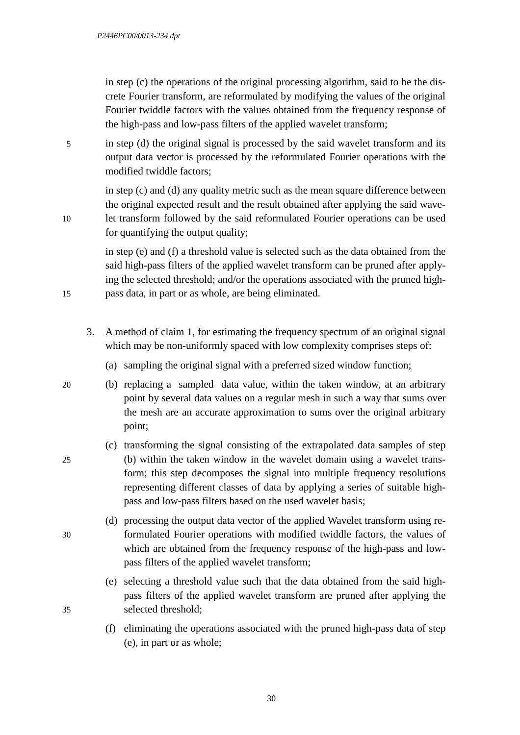in step (c) the operations of the original processing algorithm, said to be the discrete Fourier transform, are reformulated by modifying the values of the original Fourier twiddle factors with the values obtained from the frequency response of the high-pass and low-pass filters of the applied wavelet transform;

5 in step (d) the original signal is processed by the said wavelet transform and its output data vector is processed by the reformulated Fourier operations with the modified twiddle factors;

in step (c) and (d) any quality metric such as the mean square difference between the original expected result and the result obtained after applying the said wave-10 let transform followed by the said reformulated Fourier operations can be used for quantifying the output quality;

in step (e) and (f) a threshold value is selected such as the data obtained from the said high-pass filters of the applied wavelet transform can be pruned after applying the selected threshold; and/or the operations associated with the pruned high-15 pass data, in part or as whole, are being eliminated.

- 3. A method of claim 1, for estimating the frequency spectrum of an original signal which may be non-uniformly spaced with low complexity comprises steps of:
	- (a) sampling the original signal with a preferred sized window function;
- 20 (b) replacing a sampled data value, within the taken window, at an arbitrary point by several data values on a regular mesh in such a way that sums over the mesh are an accurate approximation to sums over the original arbitrary point;
- (c) transforming the signal consisting of the extrapolated data samples of step 25 (b) within the taken window in the wavelet domain using a wavelet transform; this step decomposes the signal into multiple frequency resolutions representing different classes of data by applying a series of suitable highpass and low-pass filters based on the used wavelet basis;
- (d) processing the output data vector of the applied Wavelet transform using re-30 formulated Fourier operations with modified twiddle factors, the values of which are obtained from the frequency response of the high-pass and lowpass filters of the applied wavelet transform;
- (e) selecting a threshold value such that the data obtained from the said highpass filters of the applied wavelet transform are pruned after applying the 35 selected threshold;
	- (f) eliminating the operations associated with the pruned high-pass data of step (e), in part or as whole;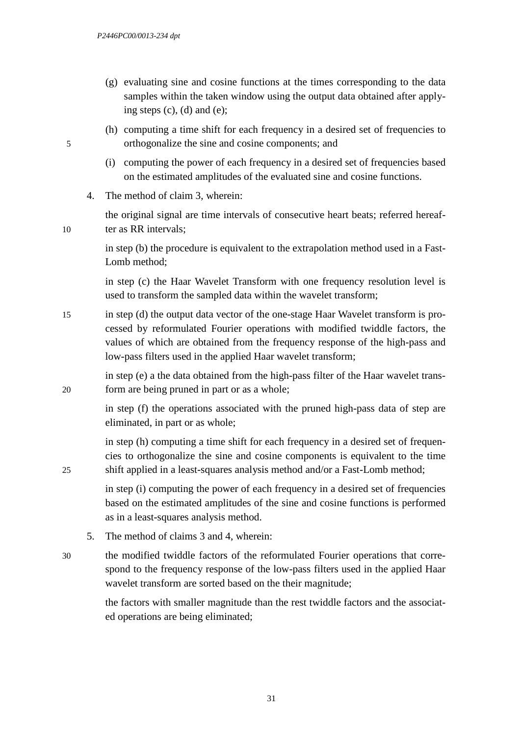- (g) evaluating sine and cosine functions at the times corresponding to the data samples within the taken window using the output data obtained after applying steps (c), (d) and (e);
- (h) computing a time shift for each frequency in a desired set of frequencies to 5 orthogonalize the sine and cosine components; and
	- (i) computing the power of each frequency in a desired set of frequencies based on the estimated amplitudes of the evaluated sine and cosine functions.
	- 4. The method of claim 3, wherein:

the original signal are time intervals of consecutive heart beats; referred hereaf-10 ter as RR intervals;

> in step (b) the procedure is equivalent to the extrapolation method used in a Fast-Lomb method;

> in step (c) the Haar Wavelet Transform with one frequency resolution level is used to transform the sampled data within the wavelet transform;

15 in step (d) the output data vector of the one-stage Haar Wavelet transform is processed by reformulated Fourier operations with modified twiddle factors, the values of which are obtained from the frequency response of the high-pass and low-pass filters used in the applied Haar wavelet transform;

in step (e) a the data obtained from the high-pass filter of the Haar wavelet trans-20 form are being pruned in part or as a whole;

> in step (f) the operations associated with the pruned high-pass data of step are eliminated, in part or as whole;

in step (h) computing a time shift for each frequency in a desired set of frequencies to orthogonalize the sine and cosine components is equivalent to the time 25 shift applied in a least-squares analysis method and/or a Fast-Lomb method;

> in step (i) computing the power of each frequency in a desired set of frequencies based on the estimated amplitudes of the sine and cosine functions is performed as in a least-squares analysis method.

- 5. The method of claims 3 and 4, wherein:
- 30 the modified twiddle factors of the reformulated Fourier operations that correspond to the frequency response of the low-pass filters used in the applied Haar wavelet transform are sorted based on the their magnitude;

the factors with smaller magnitude than the rest twiddle factors and the associated operations are being eliminated;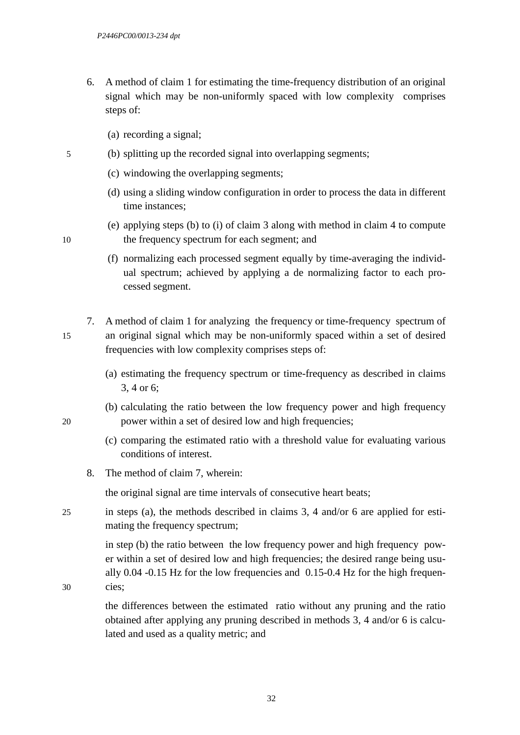- 6. A method of claim 1 for estimating the time-frequency distribution of an original signal which may be non-uniformly spaced with low complexity comprises steps of:
	- (a) recording a signal;
- 5 (b) splitting up the recorded signal into overlapping segments;
	- (c) windowing the overlapping segments;
	- (d) using a sliding window configuration in order to process the data in different time instances;
- (e) applying steps (b) to (i) of claim 3 along with method in claim 4 to compute 10 the frequency spectrum for each segment; and
	- (f) normalizing each processed segment equally by time-averaging the individual spectrum; achieved by applying a de normalizing factor to each processed segment.
- 7. A method of claim 1 for analyzing the frequency or time-frequency spectrum of 15 an original signal which may be non-uniformly spaced within a set of desired frequencies with low complexity comprises steps of:
	- (a) estimating the frequency spectrum or time-frequency as described in claims 3, 4 or 6;
- (b) calculating the ratio between the low frequency power and high frequency 20 power within a set of desired low and high frequencies;
	- (c) comparing the estimated ratio with a threshold value for evaluating various conditions of interest.
	- 8. The method of claim 7, wherein:

the original signal are time intervals of consecutive heart beats;

25 in steps (a), the methods described in claims 3, 4 and/or 6 are applied for estimating the frequency spectrum;

> in step (b) the ratio between the low frequency power and high frequency power within a set of desired low and high frequencies; the desired range being usually 0.04 -0.15 Hz for the low frequencies and 0.15-0.4 Hz for the high frequen-

30 cies;

the differences between the estimated ratio without any pruning and the ratio obtained after applying any pruning described in methods 3, 4 and/or 6 is calculated and used as a quality metric; and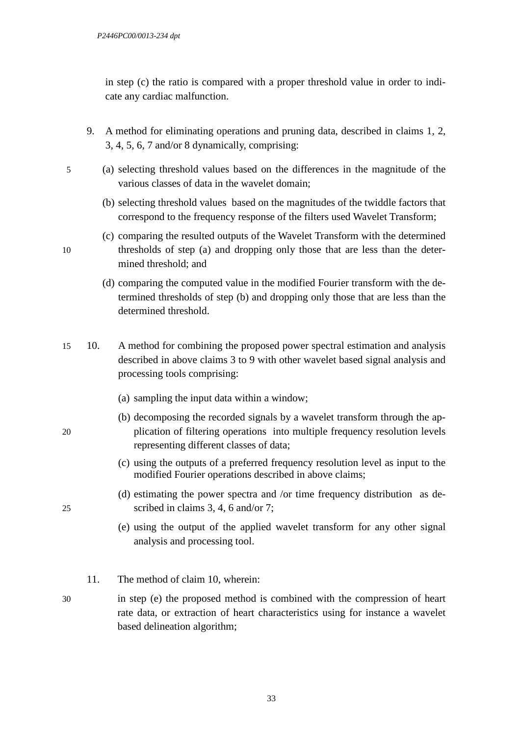in step (c) the ratio is compared with a proper threshold value in order to indicate any cardiac malfunction.

- 9. A method for eliminating operations and pruning data, described in claims 1, 2, 3, 4, 5, 6, 7 and/or 8 dynamically, comprising:
- 5 (a) selecting threshold values based on the differences in the magnitude of the various classes of data in the wavelet domain;
	- (b) selecting threshold values based on the magnitudes of the twiddle factors that correspond to the frequency response of the filters used Wavelet Transform;
- (c) comparing the resulted outputs of the Wavelet Transform with the determined 10 thresholds of step (a) and dropping only those that are less than the determined threshold; and
	- (d) comparing the computed value in the modified Fourier transform with the determined thresholds of step (b) and dropping only those that are less than the determined threshold.
- 15 10. A method for combining the proposed power spectral estimation and analysis described in above claims 3 to 9 with other wavelet based signal analysis and processing tools comprising:
	- (a) sampling the input data within a window;
- (b) decomposing the recorded signals by a wavelet transform through the ap-20 plication of filtering operations into multiple frequency resolution levels representing different classes of data;
	- (c) using the outputs of a preferred frequency resolution level as input to the modified Fourier operations described in above claims;
- (d) estimating the power spectra and /or time frequency distribution as de-25 scribed in claims 3, 4, 6 and/or 7;
	- (e) using the output of the applied wavelet transform for any other signal analysis and processing tool.
	- 11. The method of claim 10, wherein:
- 30 in step (e) the proposed method is combined with the compression of heart rate data, or extraction of heart characteristics using for instance a wavelet based delineation algorithm;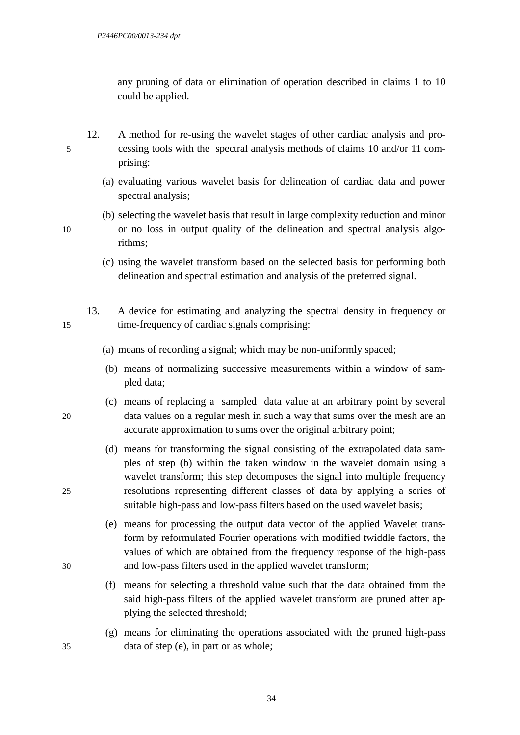any pruning of data or elimination of operation described in claims 1 to 10 could be applied.

- 12. A method for re-using the wavelet stages of other cardiac analysis and pro-5 cessing tools with the spectral analysis methods of claims 10 and/or 11 comprising:
	- (a) evaluating various wavelet basis for delineation of cardiac data and power spectral analysis;
- (b) selecting the wavelet basis that result in large complexity reduction and minor 10 or no loss in output quality of the delineation and spectral analysis algorithms;
	- (c) using the wavelet transform based on the selected basis for performing both delineation and spectral estimation and analysis of the preferred signal.
- 13. A device for estimating and analyzing the spectral density in frequency or 15 time-frequency of cardiac signals comprising:
	- (a) means of recording a signal; which may be non-uniformly spaced;
	- (b) means of normalizing successive measurements within a window of sampled data;
- (c) means of replacing a sampled data value at an arbitrary point by several 20 data values on a regular mesh in such a way that sums over the mesh are an accurate approximation to sums over the original arbitrary point;
- (d) means for transforming the signal consisting of the extrapolated data samples of step (b) within the taken window in the wavelet domain using a wavelet transform; this step decomposes the signal into multiple frequency 25 resolutions representing different classes of data by applying a series of suitable high-pass and low-pass filters based on the used wavelet basis;
- (e) means for processing the output data vector of the applied Wavelet transform by reformulated Fourier operations with modified twiddle factors, the values of which are obtained from the frequency response of the high-pass 30 and low-pass filters used in the applied wavelet transform;
	- (f) means for selecting a threshold value such that the data obtained from the said high-pass filters of the applied wavelet transform are pruned after applying the selected threshold;
- (g) means for eliminating the operations associated with the pruned high-pass 35 data of step (e), in part or as whole;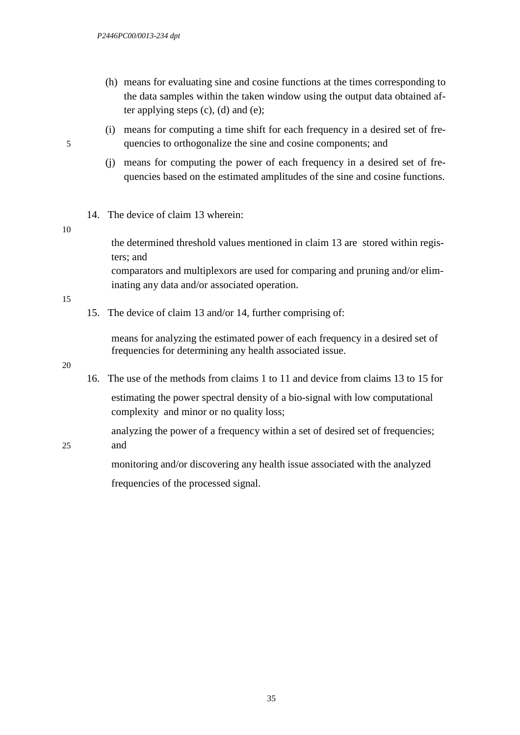- (h) means for evaluating sine and cosine functions at the times corresponding to the data samples within the taken window using the output data obtained after applying steps  $(c)$ ,  $(d)$  and  $(e)$ ;
- (i) means for computing a time shift for each frequency in a desired set of fre-5 quencies to orthogonalize the sine and cosine components; and
	- (j) means for computing the power of each frequency in a desired set of frequencies based on the estimated amplitudes of the sine and cosine functions.
	- 14. The device of claim 13 wherein:

#### 10

the determined threshold values mentioned in claim 13 are stored within registers; and

comparators and multiplexors are used for comparing and pruning and/or eliminating any data and/or associated operation.

#### 15

15. The device of claim 13 and/or 14, further comprising of:

means for analyzing the estimated power of each frequency in a desired set of frequencies for determining any health associated issue.

#### 20

16. The use of the methods from claims 1 to 11 and device from claims 13 to 15 for estimating the power spectral density of a bio-signal with low computational complexity and minor or no quality loss;

analyzing the power of a frequency within a set of desired set of frequencies;

25 and

monitoring and/or discovering any health issue associated with the analyzed frequencies of the processed signal.